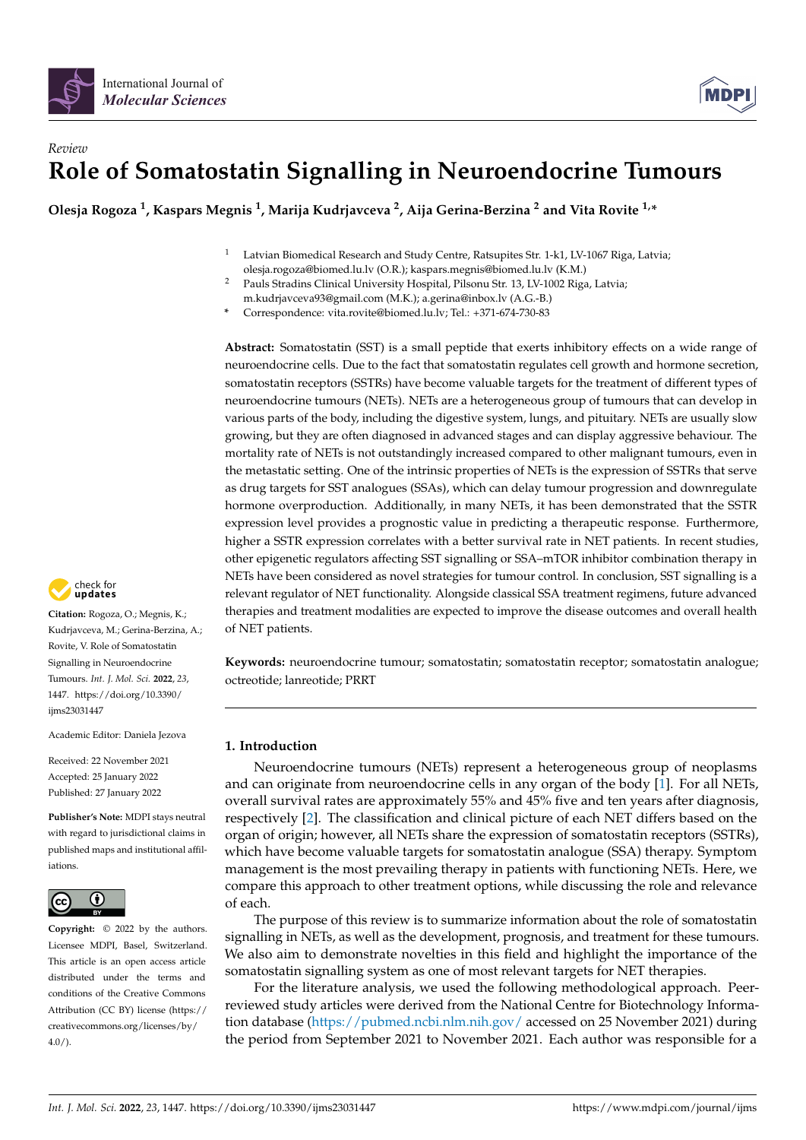



# *Review* **Role of Somatostatin Signalling in Neuroendocrine Tumours**

**Olesja Rogoza <sup>1</sup> , Kaspars Megnis <sup>1</sup> , Marija Kudrjavceva <sup>2</sup> , Aija Gerina-Berzina <sup>2</sup> and Vita Rovite 1,\***

- Latvian Biomedical Research and Study Centre, Ratsupites Str. 1-k1, LV-1067 Riga, Latvia; olesja.rogoza@biomed.lu.lv (O.R.); kaspars.megnis@biomed.lu.lv (K.M.)
- <sup>2</sup> Pauls Stradins Clinical University Hospital, Pilsonu Str. 13, LV-1002 Riga, Latvia; m.kudrjavceva93@gmail.com (M.K.); a.gerina@inbox.lv (A.G.-B.)
- **\*** Correspondence: vita.rovite@biomed.lu.lv; Tel.: +371-674-730-83

**Abstract:** Somatostatin (SST) is a small peptide that exerts inhibitory effects on a wide range of neuroendocrine cells. Due to the fact that somatostatin regulates cell growth and hormone secretion, somatostatin receptors (SSTRs) have become valuable targets for the treatment of different types of neuroendocrine tumours (NETs). NETs are a heterogeneous group of tumours that can develop in various parts of the body, including the digestive system, lungs, and pituitary. NETs are usually slow growing, but they are often diagnosed in advanced stages and can display aggressive behaviour. The mortality rate of NETs is not outstandingly increased compared to other malignant tumours, even in the metastatic setting. One of the intrinsic properties of NETs is the expression of SSTRs that serve as drug targets for SST analogues (SSAs), which can delay tumour progression and downregulate hormone overproduction. Additionally, in many NETs, it has been demonstrated that the SSTR expression level provides a prognostic value in predicting a therapeutic response. Furthermore, higher a SSTR expression correlates with a better survival rate in NET patients. In recent studies, other epigenetic regulators affecting SST signalling or SSA–mTOR inhibitor combination therapy in NETs have been considered as novel strategies for tumour control. In conclusion, SST signalling is a relevant regulator of NET functionality. Alongside classical SSA treatment regimens, future advanced therapies and treatment modalities are expected to improve the disease outcomes and overall health of NET patients.

**Keywords:** neuroendocrine tumour; somatostatin; somatostatin receptor; somatostatin analogue; octreotide; lanreotide; PRRT

## **1. Introduction**

Neuroendocrine tumours (NETs) represent a heterogeneous group of neoplasms and can originate from neuroendocrine cells in any organ of the body [\[1\]](#page-15-0). For all NETs, overall survival rates are approximately 55% and 45% five and ten years after diagnosis, respectively [\[2\]](#page-15-1). The classification and clinical picture of each NET differs based on the organ of origin; however, all NETs share the expression of somatostatin receptors (SSTRs), which have become valuable targets for somatostatin analogue (SSA) therapy. Symptom management is the most prevailing therapy in patients with functioning NETs. Here, we compare this approach to other treatment options, while discussing the role and relevance of each.

The purpose of this review is to summarize information about the role of somatostatin signalling in NETs, as well as the development, prognosis, and treatment for these tumours. We also aim to demonstrate novelties in this field and highlight the importance of the somatostatin signalling system as one of most relevant targets for NET therapies.

For the literature analysis, we used the following methodological approach. Peerreviewed study articles were derived from the National Centre for Biotechnology Information database [\(https://pubmed.ncbi.nlm.nih.gov/](https://pubmed.ncbi.nlm.nih.gov/) accessed on 25 November 2021) during the period from September 2021 to November 2021. Each author was responsible for a



**Citation:** Rogoza, O.; Megnis, K.; Kudrjavceva, M.; Gerina-Berzina, A.; Rovite, V. Role of Somatostatin Signalling in Neuroendocrine Tumours. *Int. J. Mol. Sci.* **2022**, *23*, 1447. [https://doi.org/10.3390/](https://doi.org/10.3390/ijms23031447) [ijms23031447](https://doi.org/10.3390/ijms23031447)

Academic Editor: Daniela Jezova

Received: 22 November 2021 Accepted: 25 January 2022 Published: 27 January 2022

**Publisher's Note:** MDPI stays neutral with regard to jurisdictional claims in published maps and institutional affiliations.



**Copyright:** © 2022 by the authors. Licensee MDPI, Basel, Switzerland. This article is an open access article distributed under the terms and conditions of the Creative Commons Attribution (CC BY) license [\(https://](https://creativecommons.org/licenses/by/4.0/) [creativecommons.org/licenses/by/](https://creativecommons.org/licenses/by/4.0/)  $4.0/$ ).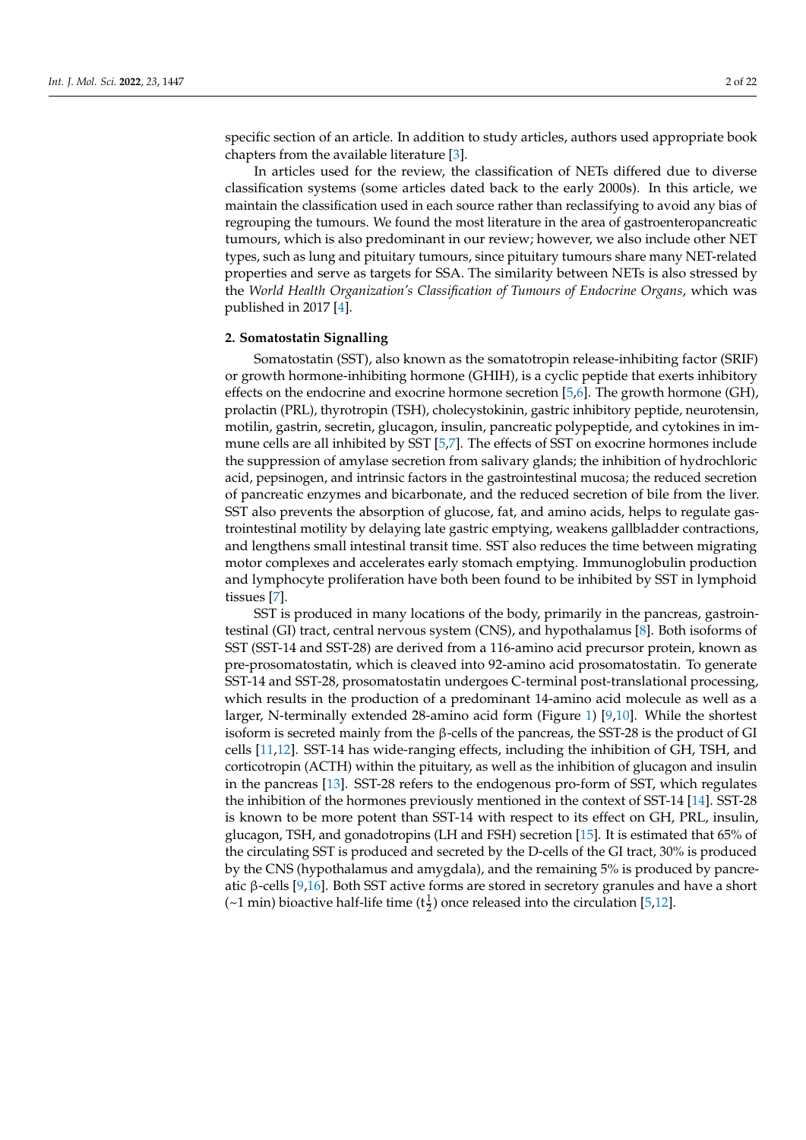specific section of an article. In addition to study articles, authors used appropriate book chapters from the available literature [\[3\]](#page-15-2).

In articles used for the review, the classification of NETs differed due to diverse classification systems (some articles dated back to the early 2000s). In this article, we maintain the classification used in each source rather than reclassifying to avoid any bias of regrouping the tumours. We found the most literature in the area of gastroenteropancreatic tumours, which is also predominant in our review; however, we also include other NET types, such as lung and pituitary tumours, since pituitary tumours share many NET-related properties and serve as targets for SSA. The similarity between NETs is also stressed by the *World Health Organization's Classification of Tumours of Endocrine Organs*, which was published in 2017 [\[4\]](#page-15-3).

### **2. Somatostatin Signalling**

Somatostatin (SST), also known as the somatotropin release-inhibiting factor (SRIF) or growth hormone-inhibiting hormone (GHIH), is a cyclic peptide that exerts inhibitory effects on the endocrine and exocrine hormone secretion [\[5,](#page-15-4)[6\]](#page-15-5). The growth hormone (GH), prolactin (PRL), thyrotropin (TSH), cholecystokinin, gastric inhibitory peptide, neurotensin, motilin, gastrin, secretin, glucagon, insulin, pancreatic polypeptide, and cytokines in immune cells are all inhibited by SST [\[5,](#page-15-4)[7\]](#page-15-6). The effects of SST on exocrine hormones include the suppression of amylase secretion from salivary glands; the inhibition of hydrochloric acid, pepsinogen, and intrinsic factors in the gastrointestinal mucosa; the reduced secretion of pancreatic enzymes and bicarbonate, and the reduced secretion of bile from the liver. SST also prevents the absorption of glucose, fat, and amino acids, helps to regulate gastrointestinal motility by delaying late gastric emptying, weakens gallbladder contractions, and lengthens small intestinal transit time. SST also reduces the time between migrating motor complexes and accelerates early stomach emptying. Immunoglobulin production and lymphocyte proliferation have both been found to be inhibited by SST in lymphoid tissues [\[7\]](#page-15-6).

SST is produced in many locations of the body, primarily in the pancreas, gastrointestinal (GI) tract, central nervous system (CNS), and hypothalamus [\[8\]](#page-15-7). Both isoforms of SST (SST-14 and SST-28) are derived from a 116-amino acid precursor protein, known as pre-prosomatostatin, which is cleaved into 92-amino acid prosomatostatin. To generate SST-14 and SST-28, prosomatostatin undergoes C-terminal post-translational processing, which results in the production of a predominant 14-amino acid molecule as well as a larger, N-terminally extended 28-amino acid form (Figure [1\)](#page-2-0) [\[9,](#page-15-8)[10\]](#page-15-9). While the shortest isoform is secreted mainly from the β-cells of the pancreas, the SST-28 is the product of GI cells [\[11,](#page-16-0)[12\]](#page-16-1). SST-14 has wide-ranging effects, including the inhibition of GH, TSH, and corticotropin (ACTH) within the pituitary, as well as the inhibition of glucagon and insulin in the pancreas [\[13\]](#page-16-2). SST-28 refers to the endogenous pro-form of SST, which regulates the inhibition of the hormones previously mentioned in the context of SST-14 [\[14\]](#page-16-3). SST-28 is known to be more potent than SST-14 with respect to its effect on GH, PRL, insulin, glucagon, TSH, and gonadotropins (LH and FSH) secretion [\[15\]](#page-16-4). It is estimated that 65% of the circulating SST is produced and secreted by the D-cells of the GI tract, 30% is produced by the CNS (hypothalamus and amygdala), and the remaining 5% is produced by pancreatic β-cells [\[9,](#page-15-8)[16\]](#page-16-5). Both SST active forms are stored in secretory granules and have a short (~1 min) bioactive half-life time ( $t^1$ <sub>2</sub>) once released into the circulation [\[5](#page-15-4)[,12\]](#page-16-1).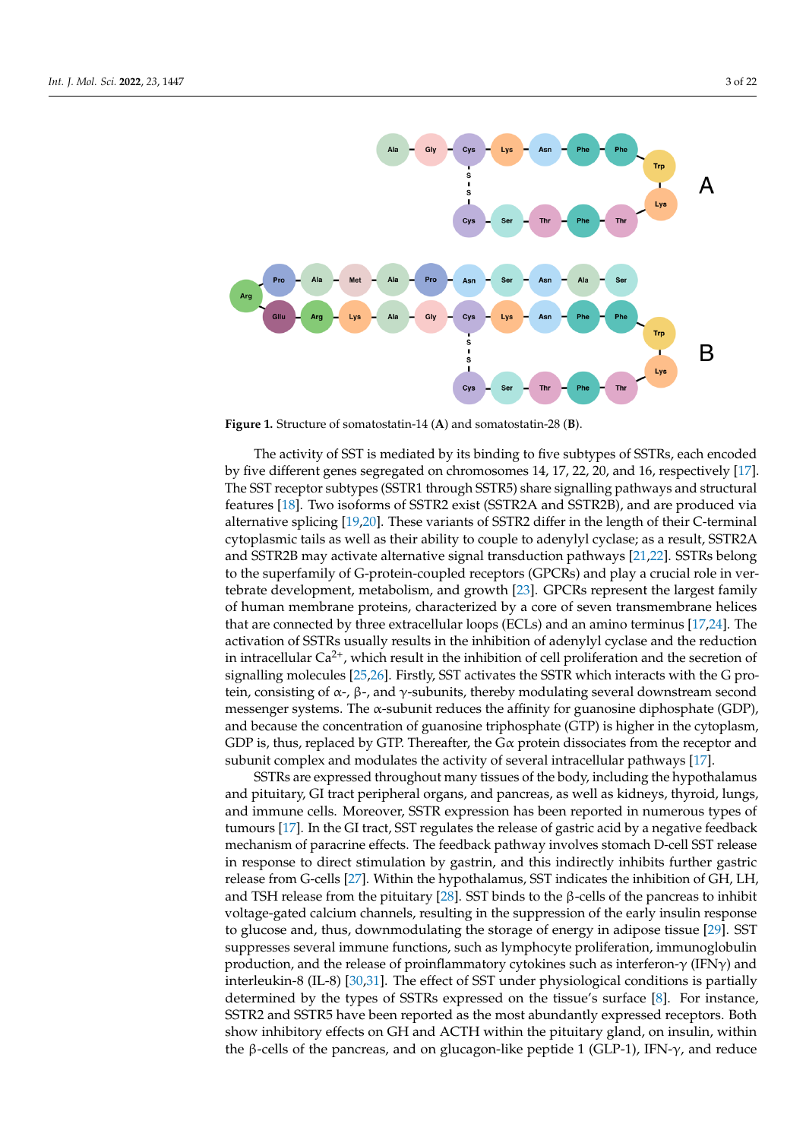<span id="page-2-0"></span>

**Figure 1.** Structure of somatostatin-14 (**A**) and somatostatin-28 (**B**). **Figure 1.** Structure of somatostatin-14 (**A**) and somatostatin-28 (**B**).

The activity of SST is mediated by its binding to five subtypes of SSTRs, each encoded by five different genes segregated on chromosomes 14, 17, 22, 20, and 16, respectively [\[17\]](#page-16-6). by five different genes segregated on chromosomes 14, 17, 22, 20, and 16, respectively [17]. The SST receptor subtypes (SSTR1 through SSTR5) share signalling pathways and structural For SST receptor subtypes (SSTR1 through SSTR2A and SSTR2B), and are produced via<br>features [\[18\]](#page-16-7). Two isoforms of SSTR2 exist (SSTR2A and SSTR2B), and are produced via alternative splicing [\[19,](#page-16-8)[20\]](#page-16-9). These variants of SSTR2 differ in the length of their C-terminal cytoplasmic tails as well as their ability to couple to adenylyl cyclase; as a result, SSTR2A and SSTR2B may activate alternative signal transduction pathways [\[21](#page-16-10)[,22\]](#page-16-11). SSTRs belong to the superfamily of G-protein-coupled receptors (GPCRs) and play a crucial role in ver-tebrate development, metabolism, and growth [\[23\]](#page-16-12). GPCRs represent the largest family of human membrane proteins, characterized by a core of seven transmembrane helices that are connected by three extracellular loops (ECLs) and an amino terminus [\[17](#page-16-6)[,24\]](#page-16-13). The activation of SSTRs usually results in the inhibition of adenylyl cyclase and the reduction in intracellular  $Ca^{2+}$ , which result in the inhibition of cell proliferation and the secretion of signalling molecules [\[25,](#page-16-14)[26\]](#page-16-15). Firstly, SST activates the SSTR which interacts with the G protein, consisting of α-, β-, and γ-subunits, thereby modulating several downstream second messenger systems. The  $\alpha$ -subunit reduces the affinity for guanosine diphosphate (GDP), and because the concentration of guanosine triphosphate (GTP) is higher in the cytoplasm, GDP is, thus, replaced by GTP. Thereafter, the  $G\alpha$  protein dissociates from the receptor and subunit complex and modulates the activity of several intracellular pathways [17]. The activity of SST is mediated by its binding to five subtypes of SSTRs, each encoded

SSTRs are expressed throughout many tissues of the body, including the hypothalamus and pituitary, GI tract peripheral organs, and pancreas, as well as kidneys, thyroid, lungs, and immune cells. Moreover, SSTR expression has been reported in numerous types of tumours [17]. In the GI tract, SST regulates the release of gastric acid by a negative feedback mechanism of paracrine effects. The feedback pathway involves stomach D-cell SST release in response to direct stimulation by gastrin, and this indirectly inhibits further gastric release from G-cells [\[27\]](#page-16-16). Within the hypothalamus, SST indicates the inhibition of GH, LH, and TSH release from the pituitary [\[28\]](#page-16-17). SST binds to the β-cells of the pancreas to inhibit voltage-gated calcium channels, resulting in the suppression of the early insulin response to glucose and, thus, downmodulating the storage of energy in adipose tissue [\[29\]](#page-16-18). SST suppresses several immune functions, such as lymphocyte proliferation, immunoglobulin production, and the release of proinflammatory cytokines such as interferon- $\gamma$  (IFN $\gamma$ ) and interleukin-8 (IL-8) [\[30,](#page-16-19)[31\]](#page-16-20). The effect of SST under physiological conditions is partially determined by the types of SSTRs expressed on the tissue's surface [\[8\]](#page-15-7). For instance, SSTR2 and SSTR5 have been reported as the most abundantly expressed receptors. Both show inhibitory effects on GH and ACTH within the pituitary gland, on insulin, within the β-cells of the pancreas, and on glucagon-like peptide 1 (GLP-1), IFN-γ, and reduce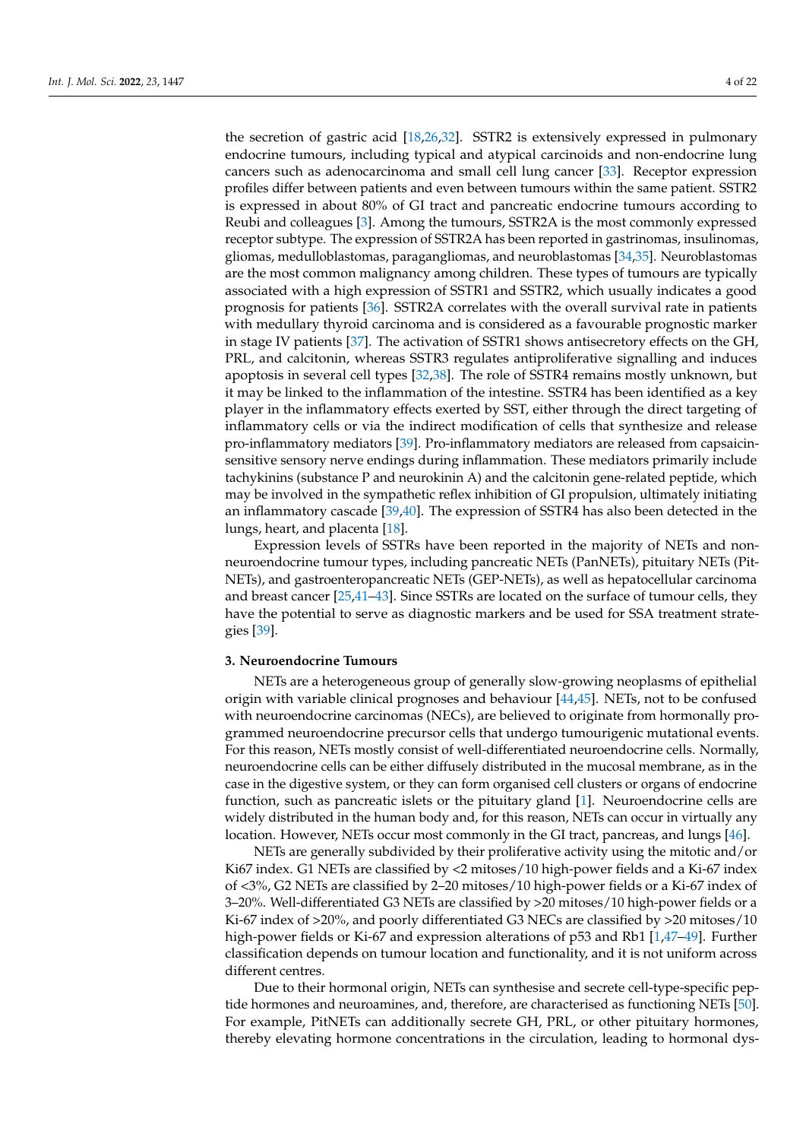the secretion of gastric acid [\[18,](#page-16-7)[26,](#page-16-15)[32\]](#page-16-21). SSTR2 is extensively expressed in pulmonary endocrine tumours, including typical and atypical carcinoids and non-endocrine lung cancers such as adenocarcinoma and small cell lung cancer [\[33\]](#page-16-22). Receptor expression profiles differ between patients and even between tumours within the same patient. SSTR2 is expressed in about 80% of GI tract and pancreatic endocrine tumours according to Reubi and colleagues [\[3\]](#page-15-2). Among the tumours, SSTR2A is the most commonly expressed receptor subtype. The expression of SSTR2A has been reported in gastrinomas, insulinomas, gliomas, medulloblastomas, paragangliomas, and neuroblastomas [\[34](#page-16-23)[,35\]](#page-16-24). Neuroblastomas are the most common malignancy among children. These types of tumours are typically associated with a high expression of SSTR1 and SSTR2, which usually indicates a good prognosis for patients [\[36\]](#page-17-0). SSTR2A correlates with the overall survival rate in patients with medullary thyroid carcinoma and is considered as a favourable prognostic marker in stage IV patients [\[37\]](#page-17-1). The activation of SSTR1 shows antisecretory effects on the GH, PRL, and calcitonin, whereas SSTR3 regulates antiproliferative signalling and induces apoptosis in several cell types [\[32](#page-16-21)[,38\]](#page-17-2). The role of SSTR4 remains mostly unknown, but it may be linked to the inflammation of the intestine. SSTR4 has been identified as a key player in the inflammatory effects exerted by SST, either through the direct targeting of inflammatory cells or via the indirect modification of cells that synthesize and release pro-inflammatory mediators [\[39\]](#page-17-3). Pro-inflammatory mediators are released from capsaicinsensitive sensory nerve endings during inflammation. These mediators primarily include tachykinins (substance P and neurokinin A) and the calcitonin gene-related peptide, which may be involved in the sympathetic reflex inhibition of GI propulsion, ultimately initiating an inflammatory cascade [\[39,](#page-17-3)[40\]](#page-17-4). The expression of SSTR4 has also been detected in the lungs, heart, and placenta [\[18\]](#page-16-7).

Expression levels of SSTRs have been reported in the majority of NETs and nonneuroendocrine tumour types, including pancreatic NETs (PanNETs), pituitary NETs (Pit-NETs), and gastroenteropancreatic NETs (GEP-NETs), as well as hepatocellular carcinoma and breast cancer [\[25,](#page-16-14)[41](#page-17-5)[–43\]](#page-17-6). Since SSTRs are located on the surface of tumour cells, they have the potential to serve as diagnostic markers and be used for SSA treatment strategies [\[39\]](#page-17-3).

### **3. Neuroendocrine Tumours**

NETs are a heterogeneous group of generally slow-growing neoplasms of epithelial origin with variable clinical prognoses and behaviour [\[44,](#page-17-7)[45\]](#page-17-8). NETs, not to be confused with neuroendocrine carcinomas (NECs), are believed to originate from hormonally programmed neuroendocrine precursor cells that undergo tumourigenic mutational events. For this reason, NETs mostly consist of well-differentiated neuroendocrine cells. Normally, neuroendocrine cells can be either diffusely distributed in the mucosal membrane, as in the case in the digestive system, or they can form organised cell clusters or organs of endocrine function, such as pancreatic islets or the pituitary gland [\[1\]](#page-15-0). Neuroendocrine cells are widely distributed in the human body and, for this reason, NETs can occur in virtually any location. However, NETs occur most commonly in the GI tract, pancreas, and lungs [\[46\]](#page-17-9).

NETs are generally subdivided by their proliferative activity using the mitotic and/or Ki67 index. G1 NETs are classified by <2 mitoses/10 high-power fields and a Ki-67 index of <3%, G2 NETs are classified by 2–20 mitoses/10 high-power fields or a Ki-67 index of 3–20%. Well-differentiated G3 NETs are classified by >20 mitoses/10 high-power fields or a Ki-67 index of >20%, and poorly differentiated G3 NECs are classified by >20 mitoses/10 high-power fields or Ki-67 and expression alterations of p53 and Rb1 [\[1,](#page-15-0)[47–](#page-17-10)[49\]](#page-17-11). Further classification depends on tumour location and functionality, and it is not uniform across different centres.

Due to their hormonal origin, NETs can synthesise and secrete cell-type-specific peptide hormones and neuroamines, and, therefore, are characterised as functioning NETs [\[50\]](#page-17-12). For example, PitNETs can additionally secrete GH, PRL, or other pituitary hormones, thereby elevating hormone concentrations in the circulation, leading to hormonal dys-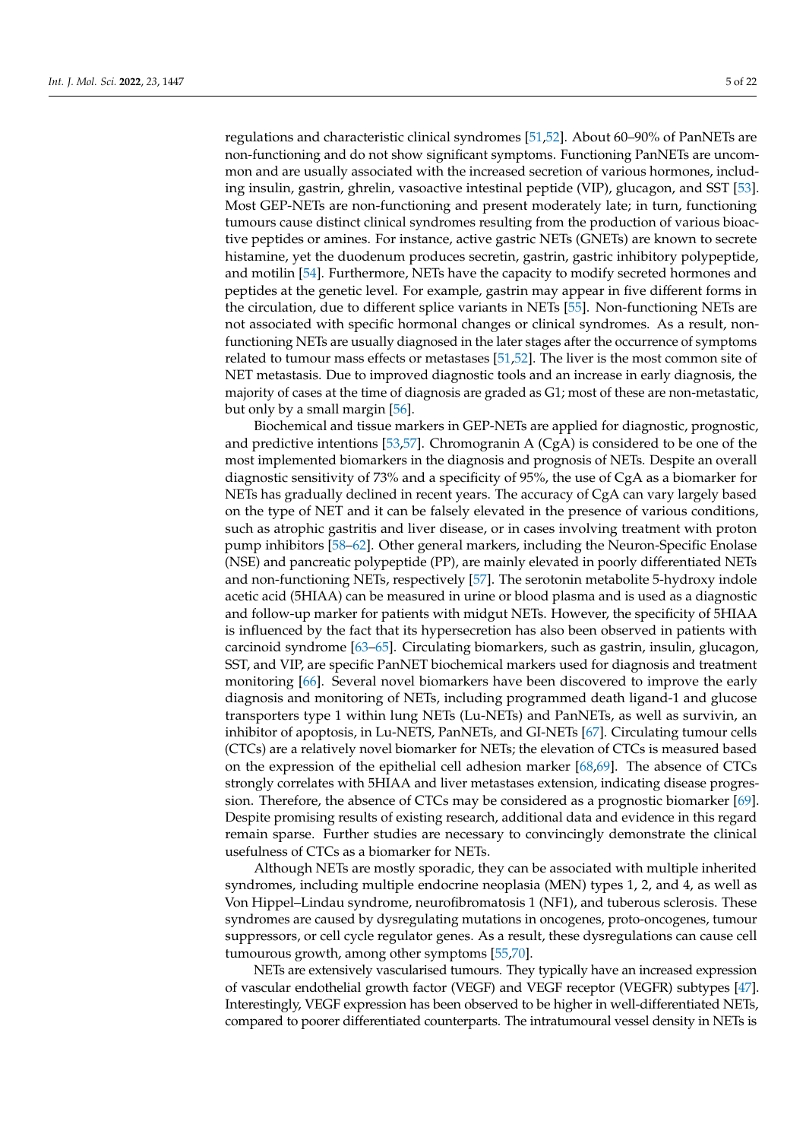regulations and characteristic clinical syndromes [\[51](#page-17-13)[,52\]](#page-17-14). About 60–90% of PanNETs are non-functioning and do not show significant symptoms. Functioning PanNETs are uncommon and are usually associated with the increased secretion of various hormones, including insulin, gastrin, ghrelin, vasoactive intestinal peptide (VIP), glucagon, and SST [\[53\]](#page-17-15). Most GEP-NETs are non-functioning and present moderately late; in turn, functioning tumours cause distinct clinical syndromes resulting from the production of various bioactive peptides or amines. For instance, active gastric NETs (GNETs) are known to secrete histamine, yet the duodenum produces secretin, gastrin, gastric inhibitory polypeptide, and motilin [\[54\]](#page-17-16). Furthermore, NETs have the capacity to modify secreted hormones and peptides at the genetic level. For example, gastrin may appear in five different forms in the circulation, due to different splice variants in NETs [\[55\]](#page-17-17). Non-functioning NETs are not associated with specific hormonal changes or clinical syndromes. As a result, nonfunctioning NETs are usually diagnosed in the later stages after the occurrence of symptoms related to tumour mass effects or metastases [\[51,](#page-17-13)[52\]](#page-17-14). The liver is the most common site of NET metastasis. Due to improved diagnostic tools and an increase in early diagnosis, the majority of cases at the time of diagnosis are graded as G1; most of these are non-metastatic, but only by a small margin [\[56\]](#page-17-18).

Biochemical and tissue markers in GEP-NETs are applied for diagnostic, prognostic, and predictive intentions [\[53](#page-17-15)[,57\]](#page-17-19). Chromogranin A  $(CgA)$  is considered to be one of the most implemented biomarkers in the diagnosis and prognosis of NETs. Despite an overall diagnostic sensitivity of 73% and a specificity of 95%, the use of CgA as a biomarker for NETs has gradually declined in recent years. The accuracy of CgA can vary largely based on the type of NET and it can be falsely elevated in the presence of various conditions, such as atrophic gastritis and liver disease, or in cases involving treatment with proton pump inhibitors [\[58](#page-17-20)[–62\]](#page-18-0). Other general markers, including the Neuron-Specific Enolase (NSE) and pancreatic polypeptide (PP), are mainly elevated in poorly differentiated NETs and non-functioning NETs, respectively [\[57\]](#page-17-19). The serotonin metabolite 5-hydroxy indole acetic acid (5HIAA) can be measured in urine or blood plasma and is used as a diagnostic and follow-up marker for patients with midgut NETs. However, the specificity of 5HIAA is influenced by the fact that its hypersecretion has also been observed in patients with carcinoid syndrome [\[63](#page-18-1)[–65\]](#page-18-2). Circulating biomarkers, such as gastrin, insulin, glucagon, SST, and VIP, are specific PanNET biochemical markers used for diagnosis and treatment monitoring [\[66\]](#page-18-3). Several novel biomarkers have been discovered to improve the early diagnosis and monitoring of NETs, including programmed death ligand-1 and glucose transporters type 1 within lung NETs (Lu-NETs) and PanNETs, as well as survivin, an inhibitor of apoptosis, in Lu-NETS, PanNETs, and GI-NETs [\[67\]](#page-18-4). Circulating tumour cells (CTCs) are a relatively novel biomarker for NETs; the elevation of CTCs is measured based on the expression of the epithelial cell adhesion marker [\[68](#page-18-5)[,69\]](#page-18-6). The absence of CTCs strongly correlates with 5HIAA and liver metastases extension, indicating disease progression. Therefore, the absence of CTCs may be considered as a prognostic biomarker [\[69\]](#page-18-6). Despite promising results of existing research, additional data and evidence in this regard remain sparse. Further studies are necessary to convincingly demonstrate the clinical usefulness of CTCs as a biomarker for NETs.

Although NETs are mostly sporadic, they can be associated with multiple inherited syndromes, including multiple endocrine neoplasia (MEN) types 1, 2, and 4, as well as Von Hippel–Lindau syndrome, neurofibromatosis 1 (NF1), and tuberous sclerosis. These syndromes are caused by dysregulating mutations in oncogenes, proto-oncogenes, tumour suppressors, or cell cycle regulator genes. As a result, these dysregulations can cause cell tumourous growth, among other symptoms [\[55,](#page-17-17)[70\]](#page-18-7).

NETs are extensively vascularised tumours. They typically have an increased expression of vascular endothelial growth factor (VEGF) and VEGF receptor (VEGFR) subtypes [\[47\]](#page-17-10). Interestingly, VEGF expression has been observed to be higher in well-differentiated NETs, compared to poorer differentiated counterparts. The intratumoural vessel density in NETs is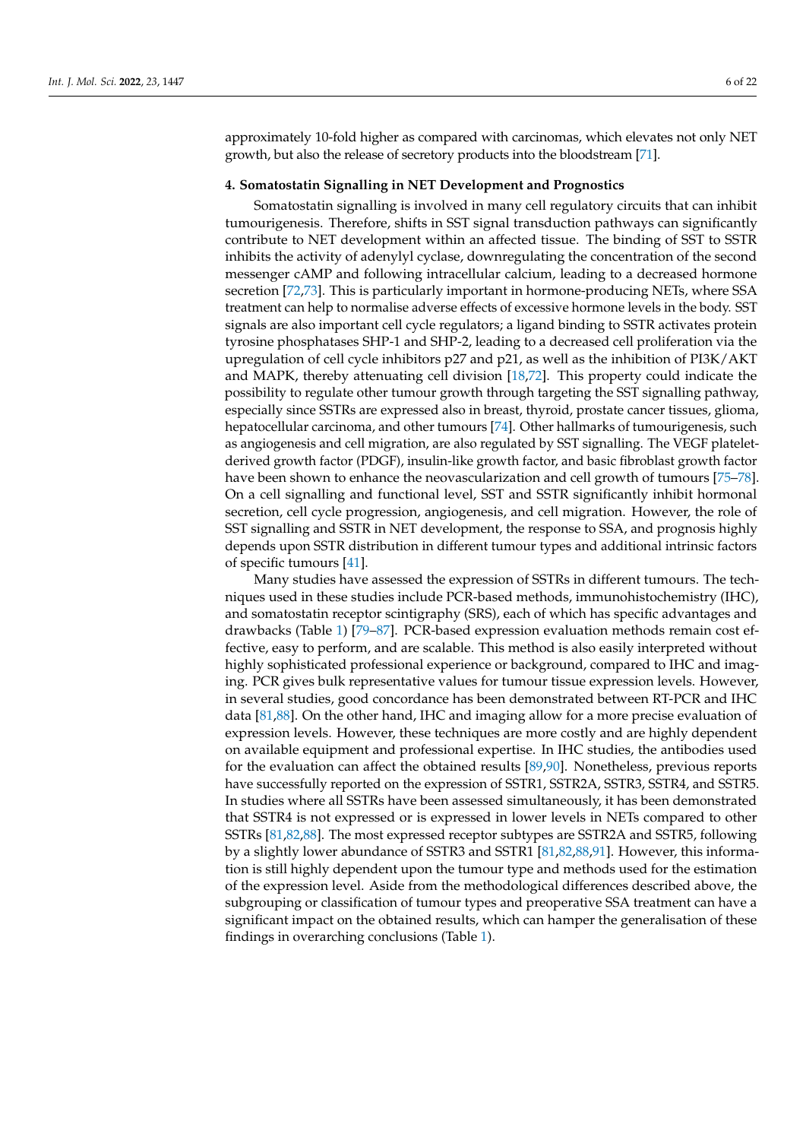approximately 10-fold higher as compared with carcinomas, which elevates not only NET growth, but also the release of secretory products into the bloodstream [\[71\]](#page-18-8).

#### **4. Somatostatin Signalling in NET Development and Prognostics**

Somatostatin signalling is involved in many cell regulatory circuits that can inhibit tumourigenesis. Therefore, shifts in SST signal transduction pathways can significantly contribute to NET development within an affected tissue. The binding of SST to SSTR inhibits the activity of adenylyl cyclase, downregulating the concentration of the second messenger cAMP and following intracellular calcium, leading to a decreased hormone secretion [\[72,](#page-18-9)[73\]](#page-18-10). This is particularly important in hormone-producing NETs, where SSA treatment can help to normalise adverse effects of excessive hormone levels in the body. SST signals are also important cell cycle regulators; a ligand binding to SSTR activates protein tyrosine phosphatases SHP-1 and SHP-2, leading to a decreased cell proliferation via the upregulation of cell cycle inhibitors p27 and p21, as well as the inhibition of PI3K/AKT and MAPK, thereby attenuating cell division [\[18](#page-16-7)[,72\]](#page-18-9). This property could indicate the possibility to regulate other tumour growth through targeting the SST signalling pathway, especially since SSTRs are expressed also in breast, thyroid, prostate cancer tissues, glioma, hepatocellular carcinoma, and other tumours [\[74\]](#page-18-11). Other hallmarks of tumourigenesis, such as angiogenesis and cell migration, are also regulated by SST signalling. The VEGF plateletderived growth factor (PDGF), insulin-like growth factor, and basic fibroblast growth factor have been shown to enhance the neovascularization and cell growth of tumours [\[75](#page-18-12)[–78\]](#page-18-13). On a cell signalling and functional level, SST and SSTR significantly inhibit hormonal secretion, cell cycle progression, angiogenesis, and cell migration. However, the role of SST signalling and SSTR in NET development, the response to SSA, and prognosis highly depends upon SSTR distribution in different tumour types and additional intrinsic factors of specific tumours [\[41\]](#page-17-5).

Many studies have assessed the expression of SSTRs in different tumours. The techniques used in these studies include PCR-based methods, immunohistochemistry (IHC), and somatostatin receptor scintigraphy (SRS), each of which has specific advantages and drawbacks (Table [1\)](#page-6-0) [\[79](#page-18-14)[–87\]](#page-19-0). PCR-based expression evaluation methods remain cost effective, easy to perform, and are scalable. This method is also easily interpreted without highly sophisticated professional experience or background, compared to IHC and imaging. PCR gives bulk representative values for tumour tissue expression levels. However, in several studies, good concordance has been demonstrated between RT-PCR and IHC data [\[81](#page-18-15)[,88\]](#page-19-1). On the other hand, IHC and imaging allow for a more precise evaluation of expression levels. However, these techniques are more costly and are highly dependent on available equipment and professional expertise. In IHC studies, the antibodies used for the evaluation can affect the obtained results [\[89,](#page-19-2)[90\]](#page-19-3). Nonetheless, previous reports have successfully reported on the expression of SSTR1, SSTR2A, SSTR3, SSTR4, and SSTR5. In studies where all SSTRs have been assessed simultaneously, it has been demonstrated that SSTR4 is not expressed or is expressed in lower levels in NETs compared to other SSTRs [\[81,](#page-18-15)[82,](#page-18-16)[88\]](#page-19-1). The most expressed receptor subtypes are SSTR2A and SSTR5, following by a slightly lower abundance of SSTR3 and SSTR1 [\[81](#page-18-15)[,82](#page-18-16)[,88](#page-19-1)[,91\]](#page-19-4). However, this information is still highly dependent upon the tumour type and methods used for the estimation of the expression level. Aside from the methodological differences described above, the subgrouping or classification of tumour types and preoperative SSA treatment can have a significant impact on the obtained results, which can hamper the generalisation of these findings in overarching conclusions (Table [1\)](#page-6-0).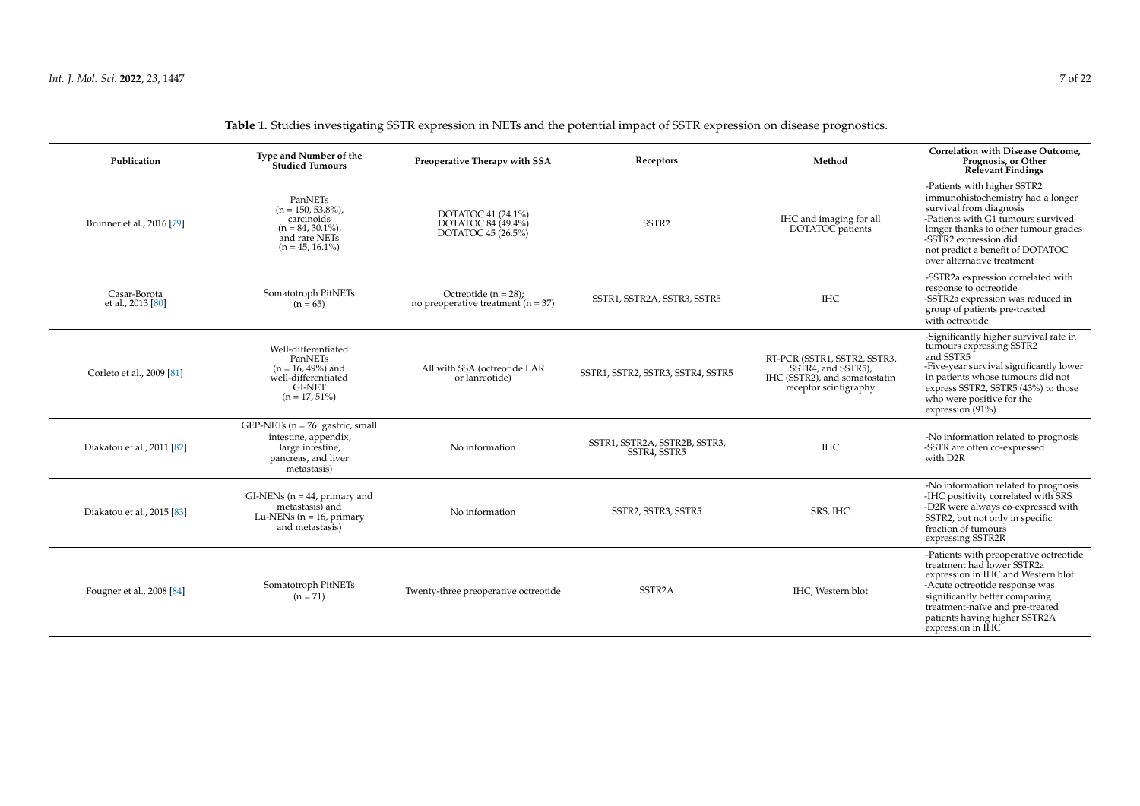<span id="page-6-0"></span>

| Publication                       | Type and Number of the<br><b>Studied Tumours</b>                                                                       | Preoperative Therapy with SSA                                     | Receptors                                     | Method                                                                                                       | Correlation with Disease Outcome.<br>Prognosis, or Other<br><b>Relevant Findings</b>                                                                                                                                                                                    |
|-----------------------------------|------------------------------------------------------------------------------------------------------------------------|-------------------------------------------------------------------|-----------------------------------------------|--------------------------------------------------------------------------------------------------------------|-------------------------------------------------------------------------------------------------------------------------------------------------------------------------------------------------------------------------------------------------------------------------|
| Brunner et al., 2016 [79]         | PanNETs<br>$(n = 150, 53.8\%)$<br>carcinoids<br>$(n = 84, 30.1\%)$<br>and rare NETs<br>$(n = 45, 16.1\%)$              | DOTATOC 41 (24.1%)<br>DOTATOC 84 (49.4%)<br>DOTATOC 45 (26.5%)    | SSTR <sub>2</sub>                             | IHC and imaging for all<br>DOTATOC patients                                                                  | -Patients with higher SSTR2<br>immunohistochemistry had a longer<br>survival from diagnosis<br>-Patients with G1 tumours survived<br>longer thanks to other tumour grades<br>-SSTR2 expression did<br>not predict a benefit of DOTATOC<br>over alternative treatment    |
| Casar-Borota<br>et al., 2013 [80] | Somatotroph PitNETs<br>$(n = 65)$                                                                                      | Octreotide $(n = 28)$ ;<br>no preoperative treatment ( $n = 37$ ) | SSTR1, SSTR2A, SSTR3, SSTR5                   | <b>IHC</b>                                                                                                   | -SSTR2a expression correlated with<br>response to octreotide<br>-SSTR2a expression was reduced in<br>group of patients pre-treated<br>with octreotide                                                                                                                   |
| Corleto et al., 2009 [81]         | Well-differentiated<br>PanNETs<br>$(n = 16, 49\%)$ and<br>well-differentiated<br><b>GI-NET</b><br>$(n = 17, 51\%)$     | All with SSA (octreotide LAR<br>or lanreotide)                    | SSTR1, SSTR2, SSTR3, SSTR4, SSTR5             | RT-PCR (SSTR1, SSTR2, SSTR3,<br>SSTR4, and SSTR5),<br>IHC (SSTR2), and somatostatin<br>receptor scintigraphy | -Significantly higher survival rate in<br>tumours expressing SSTR2<br>and SSTR5<br>-Five-year survival significantly lower<br>in patients whose tumours did not<br>express SSTR2, SSTR5 (43%) to those<br>who were positive for the<br>expression (91%)                 |
| Diakatou et al., 2011 [82]        | GEP-NETs ( $n = 76$ : gastric, small<br>intestine, appendix,<br>large intestine,<br>pancreas, and liver<br>metastasis) | No information                                                    | SSTR1, SSTR2A, SSTR2B, SSTR3,<br>SSTR4, SSTR5 | <b>IHC</b>                                                                                                   | -No information related to prognosis<br>-SSTR are often co-expressed<br>with D <sub>2R</sub>                                                                                                                                                                            |
| Diakatou et al., 2015 [83]        | $GI-NENs$ (n = 44, primary and<br>metastasis) and<br>Lu-NENs ( $n = 16$ , primary<br>and metastasis)                   | No information                                                    | SSTR2, SSTR3, SSTR5                           | SRS, IHC                                                                                                     | -No information related to prognosis<br>-IHC positivity correlated with SRS<br>-D2R were always co-expressed with<br>SSTR2, but not only in specific<br>fraction of tumours<br>expressing SSTR2R                                                                        |
| Fougner et al., 2008 [84]         | Somatotroph PitNETs<br>$(n = 71)$                                                                                      | Twenty-three preoperative octreotide                              | SSTR <sub>2</sub> A                           | IHC, Western blot                                                                                            | -Patients with preoperative octreotide<br>treatment had lower SSTR2a<br>expression in IHC and Western blot<br>-Acute octreotide response was<br>significantly better comparing<br>treatment-naïve and pre-treated<br>patients having higher SSTR2A<br>expression in IHC |

# **Table 1.** Studies investigating SSTR expression in NETs and the potential impact of SSTR expression on disease prognostics.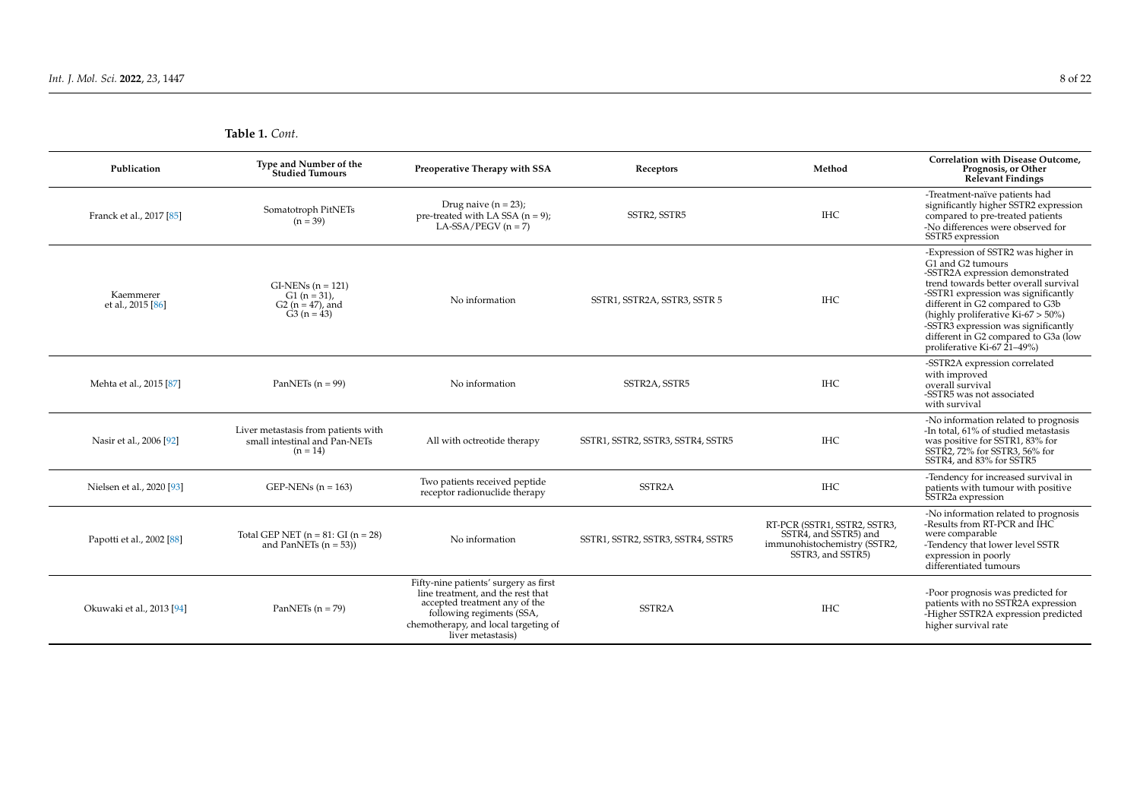**Table 1.** *Cont.*

| Publication                    | Type and Number of the<br><b>Studied Tumours</b>                                   | Preoperative Therapy with SSA                                                                                                                                                                         | Receptors                         | Method                                                                                                     | Correlation with Disease Outcome,<br>Prognosis, or Other<br><b>Relevant Findings</b>                                                                                                                                                                                                                                                                                  |
|--------------------------------|------------------------------------------------------------------------------------|-------------------------------------------------------------------------------------------------------------------------------------------------------------------------------------------------------|-----------------------------------|------------------------------------------------------------------------------------------------------------|-----------------------------------------------------------------------------------------------------------------------------------------------------------------------------------------------------------------------------------------------------------------------------------------------------------------------------------------------------------------------|
| Franck et al., 2017 [85]       | Somatotroph PitNETs<br>$(n = 39)$                                                  | Drug naive $(n = 23)$ ;<br>pre-treated with LA SSA $(n = 9)$ ;<br>$LA-SSA/PEGV (n = 7)$                                                                                                               | SSTR2, SSTR5                      | <b>IHC</b>                                                                                                 | -Treatment-naïve patients had<br>significantly higher SSTR2 expression<br>compared to pre-treated patients<br>-No differences were observed for<br>SSTR5 expression                                                                                                                                                                                                   |
| Kaemmerer<br>et al., 2015 [86] | $GI-NENs (n = 121)$<br>$G1(n = 31)$ .<br>$G2(n = 47)$ , and<br>$G3(n = 43)$        | No information                                                                                                                                                                                        | SSTR1, SSTR2A, SSTR3, SSTR 5      | <b>IHC</b>                                                                                                 | -Expression of SSTR2 was higher in<br>G1 and G2 tumours<br>-SSTR2A expression demonstrated<br>trend towards better overall survival<br>-SSTR1 expression was significantly<br>different in G2 compared to G3b<br>(highly proliferative Ki-67 > 50%)<br>-SSTR3 expression was significantly<br>different in G2 compared to G3a (low<br>proliferative Ki-67 $21-49\%$ ) |
| Mehta et al., 2015 [87]        | PanNETs $(n = 99)$                                                                 | No information                                                                                                                                                                                        | SSTR2A, SSTR5                     | <b>IHC</b>                                                                                                 | -SSTR2A expression correlated<br>with improved<br>overall survival<br>-SSTR5 was not associated<br>with survival                                                                                                                                                                                                                                                      |
| Nasir et al., 2006 [92]        | Liver metastasis from patients with<br>small intestinal and Pan-NETs<br>$(n = 14)$ | All with octreotide therapy                                                                                                                                                                           | SSTR1, SSTR2, SSTR3, SSTR4, SSTR5 | <b>IHC</b>                                                                                                 | -No information related to prognosis<br>-In total, 61% of studied metastasis<br>was positive for SSTR1, 83% for<br>SSTR2, 72% for SSTR3, 56% for<br>SSTR4, and 83% for SSTR5                                                                                                                                                                                          |
| Nielsen et al., 2020 [93]      | GEP-NENs $(n = 163)$                                                               | Two patients received peptide<br>receptor radionuclide therapy                                                                                                                                        | SSTR <sub>2</sub> A               | <b>IHC</b>                                                                                                 | -Tendency for increased survival in<br>patients with tumour with positive<br>SSTR <sub>2</sub> a expression                                                                                                                                                                                                                                                           |
| Papotti et al., 2002 [88]      | Total GEP NET $(n = 81$ : GI $(n = 28)$<br>and PanNETs $(n = 53)$                  | No information                                                                                                                                                                                        | SSTR1, SSTR2, SSTR3, SSTR4, SSTR5 | RT-PCR (SSTR1, SSTR2, SSTR3,<br>SSTR4, and SSTR5) and<br>immunohistochemistry (SSTR2,<br>SSTR3, and SSTR5) | -No information related to prognosis<br>-Results from RT-PCR and IHC<br>were comparable<br>-Tendency that lower level SSTR<br>expression in poorly<br>differentiated tumours                                                                                                                                                                                          |
| Okuwaki et al., 2013 [94]      | PanNETs $(n = 79)$                                                                 | Fifty-nine patients' surgery as first<br>line treatment, and the rest that<br>accepted treatment any of the<br>following regiments (SSA,<br>chemotherapy, and local targeting of<br>liver metastasis) | SSTR <sub>2</sub> A               | <b>IHC</b>                                                                                                 | -Poor prognosis was predicted for<br>patients with no SSTR2A expression<br>-Higher SSTR2A expression predicted<br>higher survival rate                                                                                                                                                                                                                                |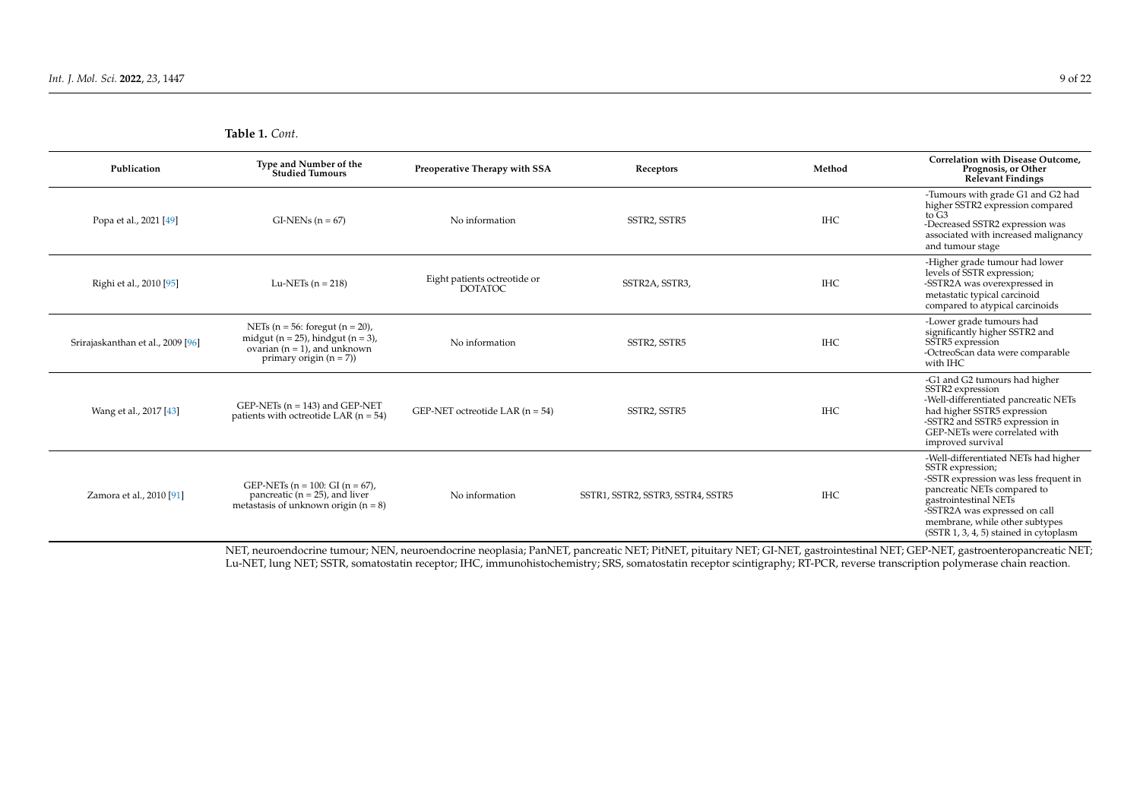**Table 1.** *Cont.*

| Publication                       | Type and Number of the<br><b>Studied Tumours</b>                                                                                                    | Preoperative Therapy with SSA                  | Receptors                                                                 | Method     | Correlation with Disease Outcome.<br>Prognosis, or Other<br>Relevant Findings                                                                                                                                                                                          |
|-----------------------------------|-----------------------------------------------------------------------------------------------------------------------------------------------------|------------------------------------------------|---------------------------------------------------------------------------|------------|------------------------------------------------------------------------------------------------------------------------------------------------------------------------------------------------------------------------------------------------------------------------|
| Popa et al., 2021 [49]            | $GI-NENs(n = 67)$                                                                                                                                   | No information                                 | SSTR2, SSTR5                                                              | <b>IHC</b> | -Tumours with grade G1 and G2 had<br>higher SSTR2 expression compared<br>to $G3$<br>-Decreased SSTR2 expression was<br>associated with increased malignancy<br>and tumour stage                                                                                        |
| Righi et al., 2010 [95]           | Lu-NETs $(n = 218)$                                                                                                                                 | Eight patients octreotide or<br><b>DOTATOC</b> | SSTR2A, SSTR3,                                                            | <b>IHC</b> | -Higher grade tumour had lower<br>levels of SSTR expression;<br>-SSTR2A was overexpressed in<br>metastatic typical carcinoid<br>compared to atypical carcinoids                                                                                                        |
| Srirajaskanthan et al., 2009 [96] | NETs ( $n = 56$ : foregut ( $n = 20$ ),<br>midgut ( $n = 25$ ), hindgut ( $n = 3$ ),<br>ovarian $(n = 1)$ , and unknown<br>primary origin $(n = 7)$ | No information                                 | SSTR2, SSTR5                                                              | <b>IHC</b> | -Lower grade tumours had<br>significantly higher SSTR2 and<br>SSTR5 expression<br>-OctreoScan data were comparable<br>with IHC                                                                                                                                         |
| Wang et al., 2017 [43]            | GEP-NETs $(n = 143)$ and GEP-NET<br>patients with octreotide LAR $(n = 54)$                                                                         | GEP-NET octreotide LAR $(n = 54)$              | SSTR2, SSTR5                                                              | <b>IHC</b> | -G1 and G2 tumours had higher<br>SSTR2 expression<br>-Well-differentiated pancreatic NETs<br>had higher SSTR5 expression<br>-SSTR2 and SSTR5 expression in<br>GEP-NETs were correlated with<br>improved survival                                                       |
| Zamora et al., 2010 [91]          | GEP-NETs $(n = 100: Gl (n = 67))$ ,<br>pancreatic $(n = 25)$ , and liver<br>metastasis of unknown origin $(n = 8)$                                  | No information                                 | SSTR1, SSTR2, SSTR3, SSTR4, SSTR5                                         | <b>IHC</b> | -Well-differentiated NETs had higher<br>SSTR expression;<br>-SSTR expression was less frequent in<br>pancreatic NETs compared to<br>gastrointestinal NETs<br>-SSTR2A was expressed on call<br>membrane, while other subtypes<br>(SSTR 1, 3, 4, 5) stained in cytoplasm |
|                                   | $\overline{1}$<br>$\lambda$ and $\lambda$<br>$\blacksquare$                                                                                         | $1$ , $\sqrt{2}$<br>$\sim$ $\sim$              | $\ddots$ a true para true $\ddots$ $\ddots$ a true $\ddot{\alpha}$ a true |            |                                                                                                                                                                                                                                                                        |

NET, neuroendocrine tumour; NEN, neuroendocrine neoplasia; PanNET, pancreatic NET; PitNET, pituitary NET; GI-NET, gastrointestinal NET; GEP-NET, gastroenteropancreatic NET; Lu-NET, lung NET; SSTR, somatostatin receptor; IHC, immunohistochemistry; SRS, somatostatin receptor scintigraphy; RT-PCR, reverse transcription polymerase chain reaction.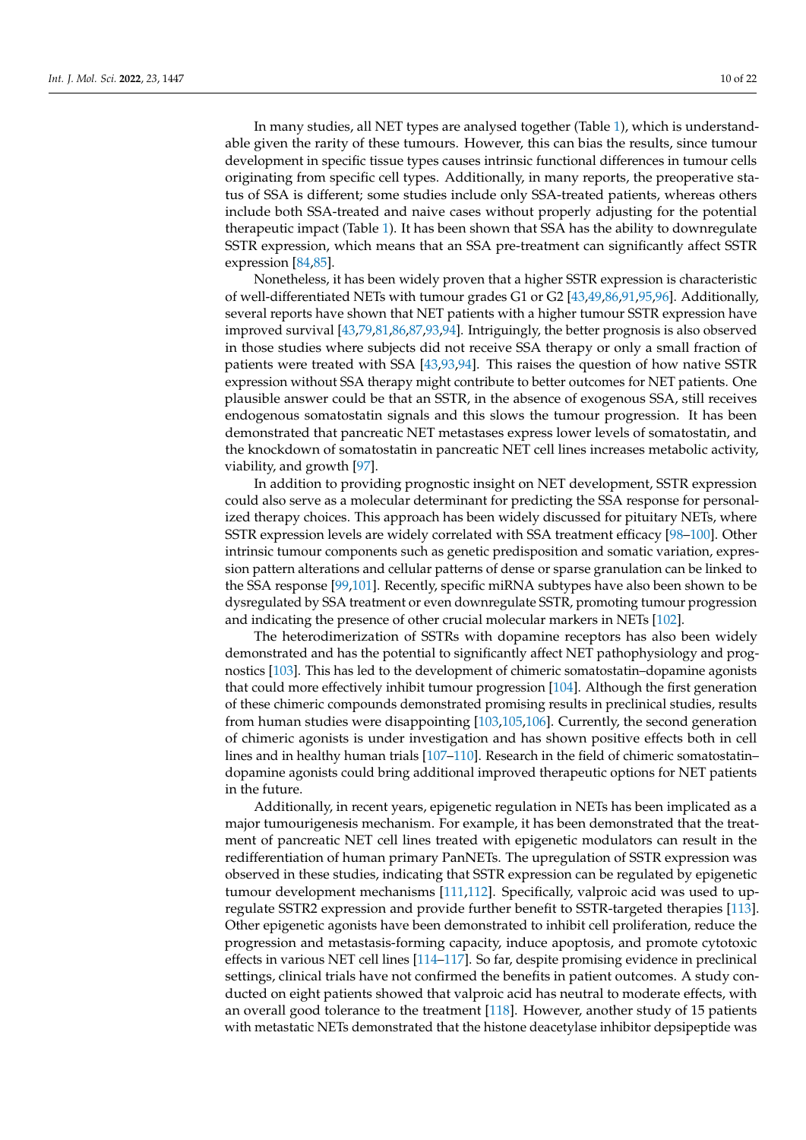In many studies, all NET types are analysed together (Table [1\)](#page-6-0), which is understandable given the rarity of these tumours. However, this can bias the results, since tumour development in specific tissue types causes intrinsic functional differences in tumour cells originating from specific cell types. Additionally, in many reports, the preoperative status of SSA is different; some studies include only SSA-treated patients, whereas others include both SSA-treated and naive cases without properly adjusting for the potential therapeutic impact (Table [1\)](#page-6-0). It has been shown that SSA has the ability to downregulate SSTR expression, which means that an SSA pre-treatment can significantly affect SSTR expression [\[84,](#page-18-23)[85\]](#page-19-15).

Nonetheless, it has been widely proven that a higher SSTR expression is characteristic of well-differentiated NETs with tumour grades G1 or G2 [\[43,](#page-17-6)[49,](#page-17-11)[86](#page-19-16)[,91](#page-19-4)[,95](#page-19-17)[,96\]](#page-19-18). Additionally, several reports have shown that NET patients with a higher tumour SSTR expression have improved survival [\[43,](#page-17-6)[79](#page-18-14)[,81](#page-18-15)[,86](#page-19-16)[,87,](#page-19-0)[93,](#page-19-19)[94\]](#page-19-20). Intriguingly, the better prognosis is also observed in those studies where subjects did not receive SSA therapy or only a small fraction of patients were treated with SSA [\[43,](#page-17-6)[93,](#page-19-19)[94\]](#page-19-20). This raises the question of how native SSTR expression without SSA therapy might contribute to better outcomes for NET patients. One plausible answer could be that an SSTR, in the absence of exogenous SSA, still receives endogenous somatostatin signals and this slows the tumour progression. It has been demonstrated that pancreatic NET metastases express lower levels of somatostatin, and the knockdown of somatostatin in pancreatic NET cell lines increases metabolic activity, viability, and growth [\[97\]](#page-19-21).

In addition to providing prognostic insight on NET development, SSTR expression could also serve as a molecular determinant for predicting the SSA response for personalized therapy choices. This approach has been widely discussed for pituitary NETs, where SSTR expression levels are widely correlated with SSA treatment efficacy [\[98–](#page-19-22)[100\]](#page-19-23). Other intrinsic tumour components such as genetic predisposition and somatic variation, expression pattern alterations and cellular patterns of dense or sparse granulation can be linked to the SSA response [\[99,](#page-19-24)[101\]](#page-19-25). Recently, specific miRNA subtypes have also been shown to be dysregulated by SSA treatment or even downregulate SSTR, promoting tumour progression and indicating the presence of other crucial molecular markers in NETs [\[102\]](#page-19-26).

The heterodimerization of SSTRs with dopamine receptors has also been widely demonstrated and has the potential to significantly affect NET pathophysiology and prognostics [\[103\]](#page-19-27). This has led to the development of chimeric somatostatin–dopamine agonists that could more effectively inhibit tumour progression [\[104\]](#page-19-28). Although the first generation of these chimeric compounds demonstrated promising results in preclinical studies, results from human studies were disappointing [\[103](#page-19-27)[,105](#page-19-29)[,106\]](#page-20-0). Currently, the second generation of chimeric agonists is under investigation and has shown positive effects both in cell lines and in healthy human trials [\[107](#page-20-1)[–110\]](#page-20-2). Research in the field of chimeric somatostatin– dopamine agonists could bring additional improved therapeutic options for NET patients in the future.

Additionally, in recent years, epigenetic regulation in NETs has been implicated as a major tumourigenesis mechanism. For example, it has been demonstrated that the treatment of pancreatic NET cell lines treated with epigenetic modulators can result in the redifferentiation of human primary PanNETs. The upregulation of SSTR expression was observed in these studies, indicating that SSTR expression can be regulated by epigenetic tumour development mechanisms [\[111,](#page-20-3)[112\]](#page-20-4). Specifically, valproic acid was used to upregulate SSTR2 expression and provide further benefit to SSTR-targeted therapies [\[113\]](#page-20-5). Other epigenetic agonists have been demonstrated to inhibit cell proliferation, reduce the progression and metastasis-forming capacity, induce apoptosis, and promote cytotoxic effects in various NET cell lines [\[114](#page-20-6)[–117\]](#page-20-7). So far, despite promising evidence in preclinical settings, clinical trials have not confirmed the benefits in patient outcomes. A study conducted on eight patients showed that valproic acid has neutral to moderate effects, with an overall good tolerance to the treatment [\[118\]](#page-20-8). However, another study of 15 patients with metastatic NETs demonstrated that the histone deacetylase inhibitor depsipeptide was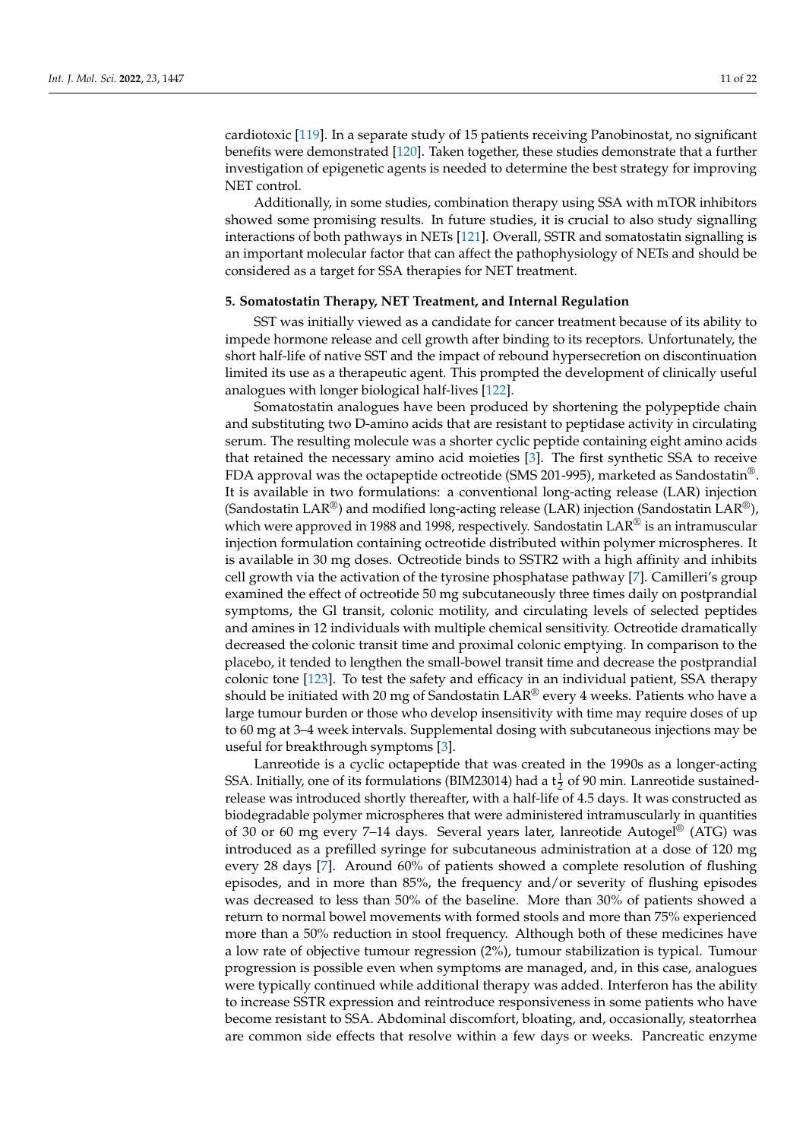cardiotoxic [\[119\]](#page-20-9). In a separate study of 15 patients receiving Panobinostat, no significant benefits were demonstrated [\[120\]](#page-20-10). Taken together, these studies demonstrate that a further investigation of epigenetic agents is needed to determine the best strategy for improving NET control.

Additionally, in some studies, combination therapy using SSA with mTOR inhibitors showed some promising results. In future studies, it is crucial to also study signalling interactions of both pathways in NETs [\[121\]](#page-20-11). Overall, SSTR and somatostatin signalling is an important molecular factor that can affect the pathophysiology of NETs and should be considered as a target for SSA therapies for NET treatment.

## **5. Somatostatin Therapy, NET Treatment, and Internal Regulation**

SST was initially viewed as a candidate for cancer treatment because of its ability to impede hormone release and cell growth after binding to its receptors. Unfortunately, the short half-life of native SST and the impact of rebound hypersecretion on discontinuation limited its use as a therapeutic agent. This prompted the development of clinically useful analogues with longer biological half-lives [\[122\]](#page-20-12).

Somatostatin analogues have been produced by shortening the polypeptide chain and substituting two D-amino acids that are resistant to peptidase activity in circulating serum. The resulting molecule was a shorter cyclic peptide containing eight amino acids that retained the necessary amino acid moieties [\[3\]](#page-15-2). The first synthetic SSA to receive FDA approval was the octapeptide octreotide (SMS 201-995), marketed as Sandostatin®. It is available in two formulations: a conventional long-acting release (LAR) injection (Sandostatin LAR<sup>®</sup>) and modified long-acting release (LAR) injection (Sandostatin LAR<sup>®</sup>), which were approved in 1988 and 1998, respectively. Sandostatin LAR<sup>®</sup> is an intramuscular injection formulation containing octreotide distributed within polymer microspheres. It is available in 30 mg doses. Octreotide binds to SSTR2 with a high affinity and inhibits cell growth via the activation of the tyrosine phosphatase pathway [\[7\]](#page-15-6). Camilleri's group examined the effect of octreotide 50 mg subcutaneously three times daily on postprandial symptoms, the Gl transit, colonic motility, and circulating levels of selected peptides and amines in 12 individuals with multiple chemical sensitivity. Octreotide dramatically decreased the colonic transit time and proximal colonic emptying. In comparison to the placebo, it tended to lengthen the small-bowel transit time and decrease the postprandial colonic tone [\[123\]](#page-20-13). To test the safety and efficacy in an individual patient, SSA therapy should be initiated with 20 mg of Sandostatin LAR® every 4 weeks. Patients who have a large tumour burden or those who develop insensitivity with time may require doses of up to 60 mg at 3–4 week intervals. Supplemental dosing with subcutaneous injections may be useful for breakthrough symptoms [\[3\]](#page-15-2).

Lanreotide is a cyclic octapeptide that was created in the 1990s as a longer-acting SSA. Initially, one of its formulations (BIM23014) had a  $t\frac{1}{2}$  of 90 min. Lanreotide sustainedrelease was introduced shortly thereafter, with a half-life of 4.5 days. It was constructed as biodegradable polymer microspheres that were administered intramuscularly in quantities of 30 or 60 mg every 7–14 days. Several years later, lanreotide Autogel<sup>®</sup> (ATG) was introduced as a prefilled syringe for subcutaneous administration at a dose of 120 mg every 28 days [\[7\]](#page-15-6). Around 60% of patients showed a complete resolution of flushing episodes, and in more than 85%, the frequency and/or severity of flushing episodes was decreased to less than 50% of the baseline. More than 30% of patients showed a return to normal bowel movements with formed stools and more than 75% experienced more than a 50% reduction in stool frequency. Although both of these medicines have a low rate of objective tumour regression (2%), tumour stabilization is typical. Tumour progression is possible even when symptoms are managed, and, in this case, analogues were typically continued while additional therapy was added. Interferon has the ability to increase SSTR expression and reintroduce responsiveness in some patients who have become resistant to SSA. Abdominal discomfort, bloating, and, occasionally, steatorrhea are common side effects that resolve within a few days or weeks. Pancreatic enzyme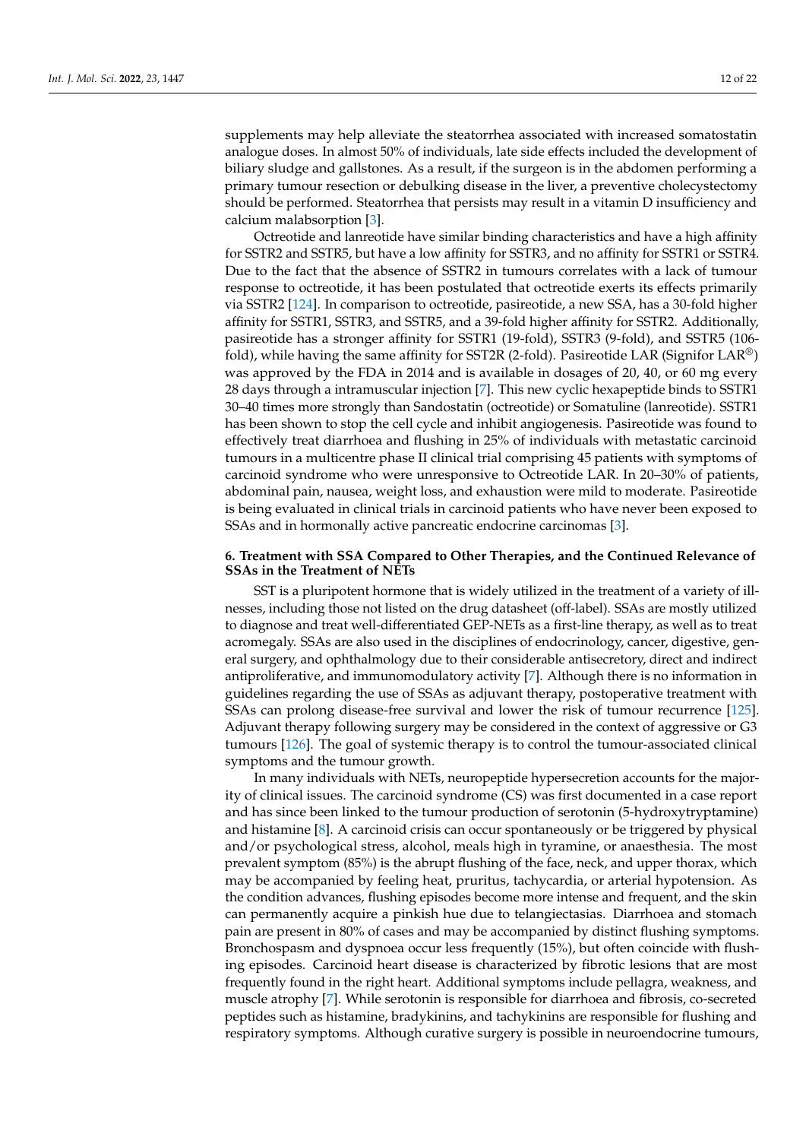supplements may help alleviate the steatorrhea associated with increased somatostatin analogue doses. In almost 50% of individuals, late side effects included the development of biliary sludge and gallstones. As a result, if the surgeon is in the abdomen performing a primary tumour resection or debulking disease in the liver, a preventive cholecystectomy should be performed. Steatorrhea that persists may result in a vitamin D insufficiency and calcium malabsorption [\[3\]](#page-15-2).

Octreotide and lanreotide have similar binding characteristics and have a high affinity for SSTR2 and SSTR5, but have a low affinity for SSTR3, and no affinity for SSTR1 or SSTR4. Due to the fact that the absence of SSTR2 in tumours correlates with a lack of tumour response to octreotide, it has been postulated that octreotide exerts its effects primarily via SSTR2 [\[124\]](#page-20-14). In comparison to octreotide, pasireotide, a new SSA, has a 30-fold higher affinity for SSTR1, SSTR3, and SSTR5, and a 39-fold higher affinity for SSTR2. Additionally, pasireotide has a stronger affinity for SSTR1 (19-fold), SSTR3 (9-fold), and SSTR5 (106 fold), while having the same affinity for SST2R (2-fold). Pasireotide LAR (Signifor LAR<sup>®</sup>) was approved by the FDA in 2014 and is available in dosages of 20, 40, or 60 mg every 28 days through a intramuscular injection [\[7\]](#page-15-6). This new cyclic hexapeptide binds to SSTR1 30–40 times more strongly than Sandostatin (octreotide) or Somatuline (lanreotide). SSTR1 has been shown to stop the cell cycle and inhibit angiogenesis. Pasireotide was found to effectively treat diarrhoea and flushing in 25% of individuals with metastatic carcinoid tumours in a multicentre phase II clinical trial comprising 45 patients with symptoms of carcinoid syndrome who were unresponsive to Octreotide LAR. In 20–30% of patients, abdominal pain, nausea, weight loss, and exhaustion were mild to moderate. Pasireotide is being evaluated in clinical trials in carcinoid patients who have never been exposed to SSAs and in hormonally active pancreatic endocrine carcinomas [\[3\]](#page-15-2).

# **6. Treatment with SSA Compared to Other Therapies, and the Continued Relevance of SSAs in the Treatment of NETs**

SST is a pluripotent hormone that is widely utilized in the treatment of a variety of illnesses, including those not listed on the drug datasheet (off-label). SSAs are mostly utilized to diagnose and treat well-differentiated GEP-NETs as a first-line therapy, as well as to treat acromegaly. SSAs are also used in the disciplines of endocrinology, cancer, digestive, general surgery, and ophthalmology due to their considerable antisecretory, direct and indirect antiproliferative, and immunomodulatory activity [\[7\]](#page-15-6). Although there is no information in guidelines regarding the use of SSAs as adjuvant therapy, postoperative treatment with SSAs can prolong disease-free survival and lower the risk of tumour recurrence [\[125\]](#page-20-15). Adjuvant therapy following surgery may be considered in the context of aggressive or G3 tumours [\[126\]](#page-20-16). The goal of systemic therapy is to control the tumour-associated clinical symptoms and the tumour growth.

In many individuals with NETs, neuropeptide hypersecretion accounts for the majority of clinical issues. The carcinoid syndrome (CS) was first documented in a case report and has since been linked to the tumour production of serotonin (5-hydroxytryptamine) and histamine [\[8\]](#page-15-7). A carcinoid crisis can occur spontaneously or be triggered by physical and/or psychological stress, alcohol, meals high in tyramine, or anaesthesia. The most prevalent symptom (85%) is the abrupt flushing of the face, neck, and upper thorax, which may be accompanied by feeling heat, pruritus, tachycardia, or arterial hypotension. As the condition advances, flushing episodes become more intense and frequent, and the skin can permanently acquire a pinkish hue due to telangiectasias. Diarrhoea and stomach pain are present in 80% of cases and may be accompanied by distinct flushing symptoms. Bronchospasm and dyspnoea occur less frequently (15%), but often coincide with flushing episodes. Carcinoid heart disease is characterized by fibrotic lesions that are most frequently found in the right heart. Additional symptoms include pellagra, weakness, and muscle atrophy [\[7\]](#page-15-6). While serotonin is responsible for diarrhoea and fibrosis, co-secreted peptides such as histamine, bradykinins, and tachykinins are responsible for flushing and respiratory symptoms. Although curative surgery is possible in neuroendocrine tumours,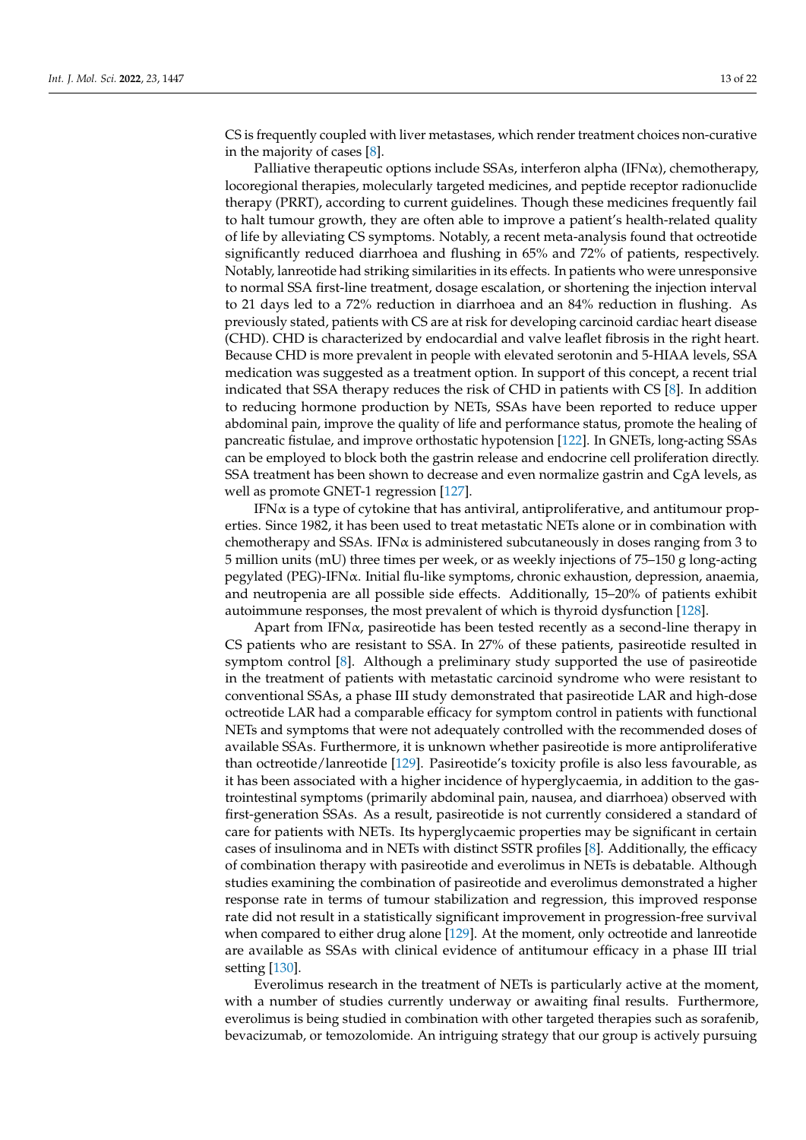CS is frequently coupled with liver metastases, which render treatment choices non-curative in the majority of cases [\[8\]](#page-15-7).

Palliative therapeutic options include SSAs, interferon alpha (IFN $\alpha$ ), chemotherapy, locoregional therapies, molecularly targeted medicines, and peptide receptor radionuclide therapy (PRRT), according to current guidelines. Though these medicines frequently fail to halt tumour growth, they are often able to improve a patient's health-related quality of life by alleviating CS symptoms. Notably, a recent meta-analysis found that octreotide significantly reduced diarrhoea and flushing in 65% and 72% of patients, respectively. Notably, lanreotide had striking similarities in its effects. In patients who were unresponsive to normal SSA first-line treatment, dosage escalation, or shortening the injection interval to 21 days led to a 72% reduction in diarrhoea and an 84% reduction in flushing. As previously stated, patients with CS are at risk for developing carcinoid cardiac heart disease (CHD). CHD is characterized by endocardial and valve leaflet fibrosis in the right heart. Because CHD is more prevalent in people with elevated serotonin and 5-HIAA levels, SSA medication was suggested as a treatment option. In support of this concept, a recent trial indicated that SSA therapy reduces the risk of CHD in patients with CS [\[8\]](#page-15-7). In addition to reducing hormone production by NETs, SSAs have been reported to reduce upper abdominal pain, improve the quality of life and performance status, promote the healing of pancreatic fistulae, and improve orthostatic hypotension [\[122\]](#page-20-12). In GNETs, long-acting SSAs can be employed to block both the gastrin release and endocrine cell proliferation directly. SSA treatment has been shown to decrease and even normalize gastrin and CgA levels, as well as promote GNET-1 regression [\[127\]](#page-20-17).

IFNα is a type of cytokine that has antiviral, antiproliferative, and antitumour properties. Since 1982, it has been used to treat metastatic NETs alone or in combination with chemotherapy and SSAs. IFN $\alpha$  is administered subcutaneously in doses ranging from 3 to 5 million units (mU) three times per week, or as weekly injections of 75–150 g long-acting  $pegylated (PEG)-IFN $\alpha$ . Initial flu-like symptoms, chronic exhaustion, depression, anaemia,$ and neutropenia are all possible side effects. Additionally, 15–20% of patients exhibit autoimmune responses, the most prevalent of which is thyroid dysfunction [\[128\]](#page-20-18).

Apart from IFNα, pasireotide has been tested recently as a second-line therapy in CS patients who are resistant to SSA. In 27% of these patients, pasireotide resulted in symptom control [\[8\]](#page-15-7). Although a preliminary study supported the use of pasireotide in the treatment of patients with metastatic carcinoid syndrome who were resistant to conventional SSAs, a phase III study demonstrated that pasireotide LAR and high-dose octreotide LAR had a comparable efficacy for symptom control in patients with functional NETs and symptoms that were not adequately controlled with the recommended doses of available SSAs. Furthermore, it is unknown whether pasireotide is more antiproliferative than octreotide/lanreotide [\[129\]](#page-21-0). Pasireotide's toxicity profile is also less favourable, as it has been associated with a higher incidence of hyperglycaemia, in addition to the gastrointestinal symptoms (primarily abdominal pain, nausea, and diarrhoea) observed with first-generation SSAs. As a result, pasireotide is not currently considered a standard of care for patients with NETs. Its hyperglycaemic properties may be significant in certain cases of insulinoma and in NETs with distinct SSTR profiles [\[8\]](#page-15-7). Additionally, the efficacy of combination therapy with pasireotide and everolimus in NETs is debatable. Although studies examining the combination of pasireotide and everolimus demonstrated a higher response rate in terms of tumour stabilization and regression, this improved response rate did not result in a statistically significant improvement in progression-free survival when compared to either drug alone [\[129\]](#page-21-0). At the moment, only octreotide and lanreotide are available as SSAs with clinical evidence of antitumour efficacy in a phase III trial setting [\[130\]](#page-21-1).

Everolimus research in the treatment of NETs is particularly active at the moment, with a number of studies currently underway or awaiting final results. Furthermore, everolimus is being studied in combination with other targeted therapies such as sorafenib, bevacizumab, or temozolomide. An intriguing strategy that our group is actively pursuing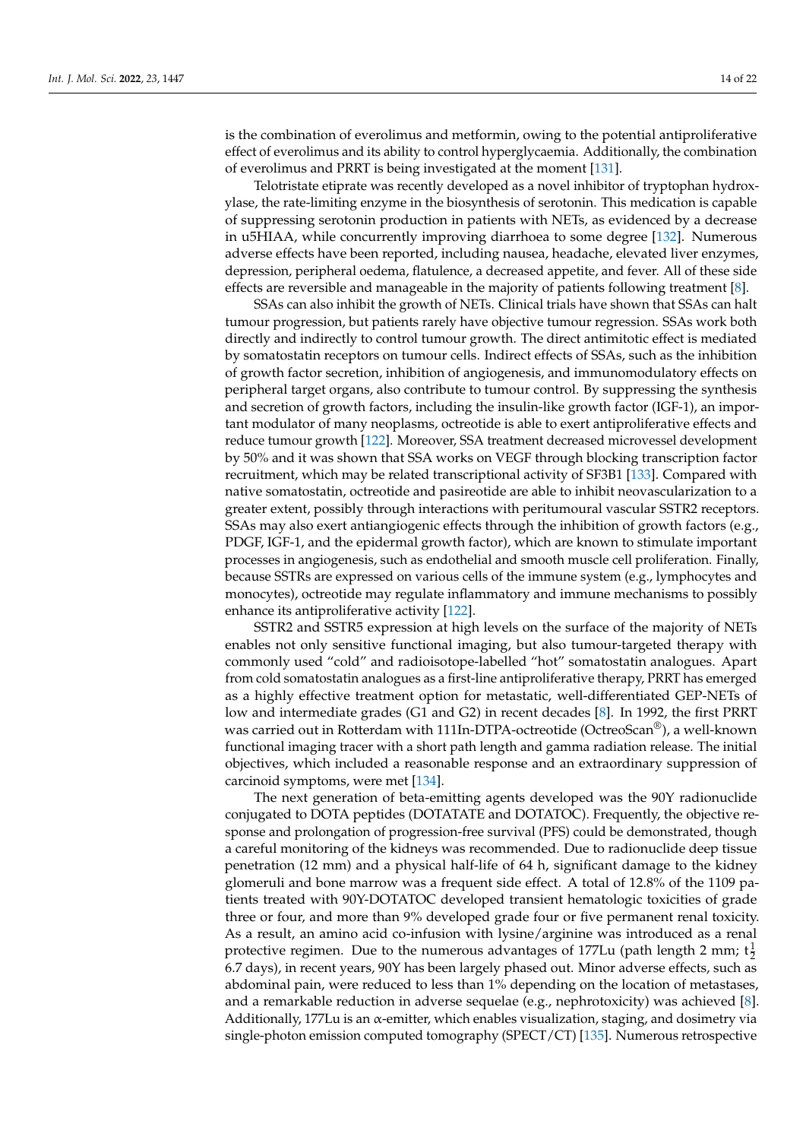is the combination of everolimus and metformin, owing to the potential antiproliferative effect of everolimus and its ability to control hyperglycaemia. Additionally, the combination of everolimus and PRRT is being investigated at the moment [\[131\]](#page-21-2).

Telotristate etiprate was recently developed as a novel inhibitor of tryptophan hydroxylase, the rate-limiting enzyme in the biosynthesis of serotonin. This medication is capable of suppressing serotonin production in patients with NETs, as evidenced by a decrease in u5HIAA, while concurrently improving diarrhoea to some degree [\[132\]](#page-21-3). Numerous adverse effects have been reported, including nausea, headache, elevated liver enzymes, depression, peripheral oedema, flatulence, a decreased appetite, and fever. All of these side effects are reversible and manageable in the majority of patients following treatment [\[8\]](#page-15-7).

SSAs can also inhibit the growth of NETs. Clinical trials have shown that SSAs can halt tumour progression, but patients rarely have objective tumour regression. SSAs work both directly and indirectly to control tumour growth. The direct antimitotic effect is mediated by somatostatin receptors on tumour cells. Indirect effects of SSAs, such as the inhibition of growth factor secretion, inhibition of angiogenesis, and immunomodulatory effects on peripheral target organs, also contribute to tumour control. By suppressing the synthesis and secretion of growth factors, including the insulin-like growth factor (IGF-1), an important modulator of many neoplasms, octreotide is able to exert antiproliferative effects and reduce tumour growth [\[122\]](#page-20-12). Moreover, SSA treatment decreased microvessel development by 50% and it was shown that SSA works on VEGF through blocking transcription factor recruitment, which may be related transcriptional activity of SF3B1 [\[133\]](#page-21-4). Compared with native somatostatin, octreotide and pasireotide are able to inhibit neovascularization to a greater extent, possibly through interactions with peritumoural vascular SSTR2 receptors. SSAs may also exert antiangiogenic effects through the inhibition of growth factors (e.g., PDGF, IGF-1, and the epidermal growth factor), which are known to stimulate important processes in angiogenesis, such as endothelial and smooth muscle cell proliferation. Finally, because SSTRs are expressed on various cells of the immune system (e.g., lymphocytes and monocytes), octreotide may regulate inflammatory and immune mechanisms to possibly enhance its antiproliferative activity [\[122\]](#page-20-12).

SSTR2 and SSTR5 expression at high levels on the surface of the majority of NETs enables not only sensitive functional imaging, but also tumour-targeted therapy with commonly used "cold" and radioisotope-labelled "hot" somatostatin analogues. Apart from cold somatostatin analogues as a first-line antiproliferative therapy, PRRT has emerged as a highly effective treatment option for metastatic, well-differentiated GEP-NETs of low and intermediate grades (G1 and G2) in recent decades [\[8\]](#page-15-7). In 1992, the first PRRT was carried out in Rotterdam with 111In-DTPA-octreotide (OctreoScan®), a well-known functional imaging tracer with a short path length and gamma radiation release. The initial objectives, which included a reasonable response and an extraordinary suppression of carcinoid symptoms, were met [\[134\]](#page-21-5).

The next generation of beta-emitting agents developed was the 90Y radionuclide conjugated to DOTA peptides (DOTATATE and DOTATOC). Frequently, the objective response and prolongation of progression-free survival (PFS) could be demonstrated, though a careful monitoring of the kidneys was recommended. Due to radionuclide deep tissue penetration (12 mm) and a physical half-life of 64 h, significant damage to the kidney glomeruli and bone marrow was a frequent side effect. A total of 12.8% of the 1109 patients treated with 90Y-DOTATOC developed transient hematologic toxicities of grade three or four, and more than 9% developed grade four or five permanent renal toxicity. As a result, an amino acid co-infusion with lysine/arginine was introduced as a renal protective regimen. Due to the numerous advantages of 177Lu (path length 2 mm;  $t^{\frac{1}{2}}$ 6.7 days), in recent years, 90Y has been largely phased out. Minor adverse effects, such as abdominal pain, were reduced to less than 1% depending on the location of metastases, and a remarkable reduction in adverse sequelae (e.g., nephrotoxicity) was achieved [\[8\]](#page-15-7). Additionally, 177Lu is an α-emitter, which enables visualization, staging, and dosimetry via single-photon emission computed tomography (SPECT/CT) [\[135\]](#page-21-6). Numerous retrospective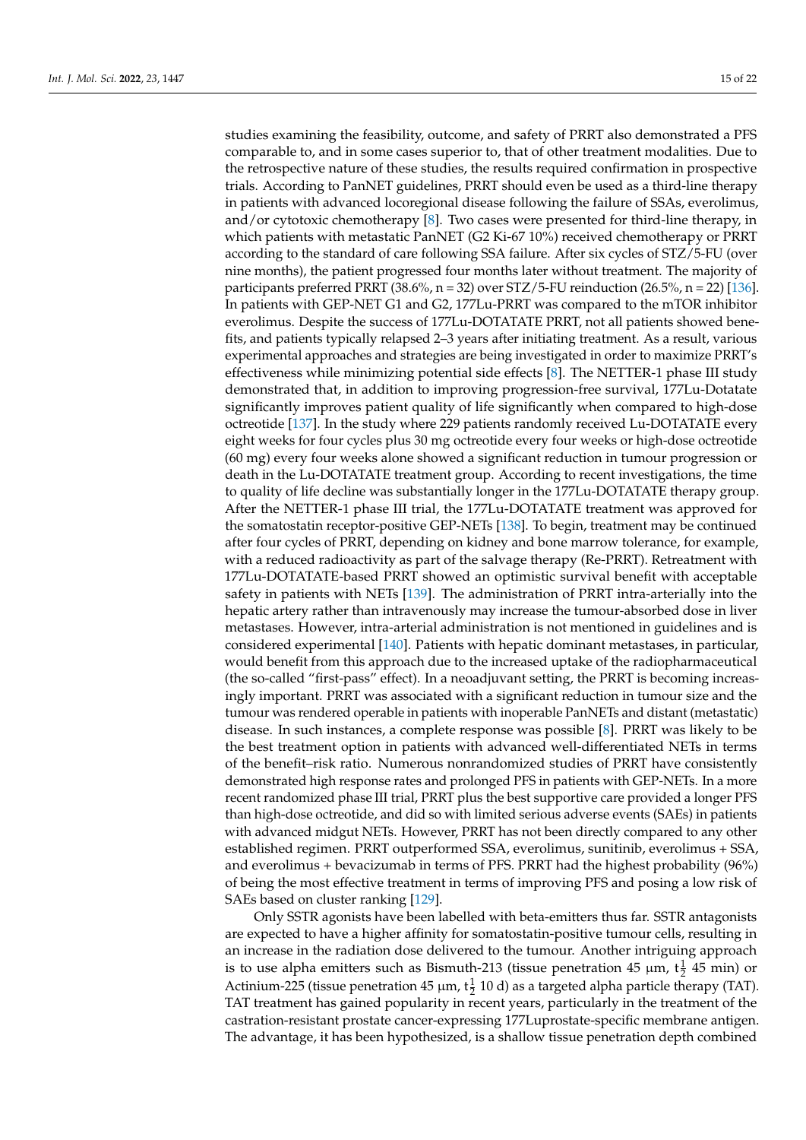studies examining the feasibility, outcome, and safety of PRRT also demonstrated a PFS comparable to, and in some cases superior to, that of other treatment modalities. Due to the retrospective nature of these studies, the results required confirmation in prospective trials. According to PanNET guidelines, PRRT should even be used as a third-line therapy in patients with advanced locoregional disease following the failure of SSAs, everolimus, and/or cytotoxic chemotherapy [\[8\]](#page-15-7). Two cases were presented for third-line therapy, in which patients with metastatic PanNET (G2 Ki-67 10%) received chemotherapy or PRRT according to the standard of care following SSA failure. After six cycles of STZ/5-FU (over nine months), the patient progressed four months later without treatment. The majority of participants preferred PRRT (38.6%,  $n = 32$ ) over STZ/5-FU reinduction (26.5%,  $n = 22$ ) [\[136\]](#page-21-7). In patients with GEP-NET G1 and G2, 177Lu-PRRT was compared to the mTOR inhibitor everolimus. Despite the success of 177Lu-DOTATATE PRRT, not all patients showed benefits, and patients typically relapsed 2–3 years after initiating treatment. As a result, various experimental approaches and strategies are being investigated in order to maximize PRRT's effectiveness while minimizing potential side effects [\[8\]](#page-15-7). The NETTER-1 phase III study demonstrated that, in addition to improving progression-free survival, 177Lu-Dotatate significantly improves patient quality of life significantly when compared to high-dose octreotide [\[137\]](#page-21-8). In the study where 229 patients randomly received Lu-DOTATATE every eight weeks for four cycles plus 30 mg octreotide every four weeks or high-dose octreotide (60 mg) every four weeks alone showed a significant reduction in tumour progression or death in the Lu-DOTATATE treatment group. According to recent investigations, the time to quality of life decline was substantially longer in the 177Lu-DOTATATE therapy group. After the NETTER-1 phase III trial, the 177Lu-DOTATATE treatment was approved for the somatostatin receptor-positive GEP-NETs [\[138\]](#page-21-9). To begin, treatment may be continued after four cycles of PRRT, depending on kidney and bone marrow tolerance, for example, with a reduced radioactivity as part of the salvage therapy (Re-PRRT). Retreatment with 177Lu-DOTATATE-based PRRT showed an optimistic survival benefit with acceptable safety in patients with NETs [\[139\]](#page-21-10). The administration of PRRT intra-arterially into the hepatic artery rather than intravenously may increase the tumour-absorbed dose in liver metastases. However, intra-arterial administration is not mentioned in guidelines and is considered experimental [\[140\]](#page-21-11). Patients with hepatic dominant metastases, in particular, would benefit from this approach due to the increased uptake of the radiopharmaceutical (the so-called "first-pass" effect). In a neoadjuvant setting, the PRRT is becoming increasingly important. PRRT was associated with a significant reduction in tumour size and the tumour was rendered operable in patients with inoperable PanNETs and distant (metastatic) disease. In such instances, a complete response was possible [\[8\]](#page-15-7). PRRT was likely to be the best treatment option in patients with advanced well-differentiated NETs in terms of the benefit–risk ratio. Numerous nonrandomized studies of PRRT have consistently demonstrated high response rates and prolonged PFS in patients with GEP-NETs. In a more recent randomized phase III trial, PRRT plus the best supportive care provided a longer PFS than high-dose octreotide, and did so with limited serious adverse events (SAEs) in patients with advanced midgut NETs. However, PRRT has not been directly compared to any other established regimen. PRRT outperformed SSA, everolimus, sunitinib, everolimus + SSA, and everolimus + bevacizumab in terms of PFS. PRRT had the highest probability (96%) of being the most effective treatment in terms of improving PFS and posing a low risk of SAEs based on cluster ranking [\[129\]](#page-21-0).

Only SSTR agonists have been labelled with beta-emitters thus far. SSTR antagonists are expected to have a higher affinity for somatostatin-positive tumour cells, resulting in an increase in the radiation dose delivered to the tumour. Another intriguing approach is to use alpha emitters such as Bismuth-213 (tissue penetration 45  $\mu$ m, t $\frac{1}{2}$  45 min) or Actinium-225 (tissue penetration 45  $\mu$ m,  $t_{\frac{1}{2}}$  10 d) as a targeted alpha particle therapy (TAT). TAT treatment has gained popularity in recent years, particularly in the treatment of the castration-resistant prostate cancer-expressing 177Luprostate-specific membrane antigen. The advantage, it has been hypothesized, is a shallow tissue penetration depth combined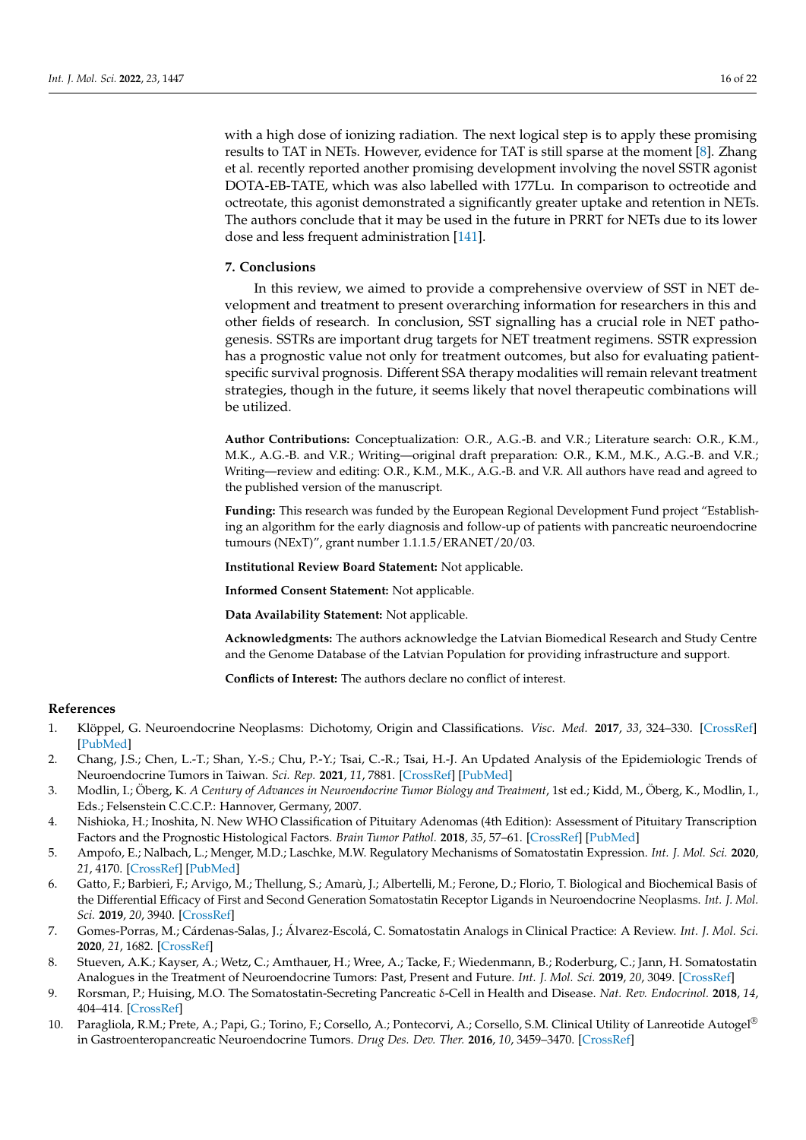with a high dose of ionizing radiation. The next logical step is to apply these promising results to TAT in NETs. However, evidence for TAT is still sparse at the moment [\[8\]](#page-15-7). Zhang et al. recently reported another promising development involving the novel SSTR agonist DOTA-EB-TATE, which was also labelled with 177Lu. In comparison to octreotide and octreotate, this agonist demonstrated a significantly greater uptake and retention in NETs. The authors conclude that it may be used in the future in PRRT for NETs due to its lower dose and less frequent administration [\[141\]](#page-21-12).

### **7. Conclusions**

In this review, we aimed to provide a comprehensive overview of SST in NET development and treatment to present overarching information for researchers in this and other fields of research. In conclusion, SST signalling has a crucial role in NET pathogenesis. SSTRs are important drug targets for NET treatment regimens. SSTR expression has a prognostic value not only for treatment outcomes, but also for evaluating patientspecific survival prognosis. Different SSA therapy modalities will remain relevant treatment strategies, though in the future, it seems likely that novel therapeutic combinations will be utilized.

**Author Contributions:** Conceptualization: O.R., A.G.-B. and V.R.; Literature search: O.R., K.M., M.K., A.G.-B. and V.R.; Writing—original draft preparation: O.R., K.M., M.K., A.G.-B. and V.R.; Writing—review and editing: O.R., K.M., M.K., A.G.-B. and V.R. All authors have read and agreed to the published version of the manuscript.

**Funding:** This research was funded by the European Regional Development Fund project "Establishing an algorithm for the early diagnosis and follow-up of patients with pancreatic neuroendocrine tumours (NExT)", grant number 1.1.1.5/ERANET/20/03.

**Institutional Review Board Statement:** Not applicable.

**Informed Consent Statement:** Not applicable.

**Data Availability Statement:** Not applicable.

**Acknowledgments:** The authors acknowledge the Latvian Biomedical Research and Study Centre and the Genome Database of the Latvian Population for providing infrastructure and support.

**Conflicts of Interest:** The authors declare no conflict of interest.

### **References**

- <span id="page-15-0"></span>1. Klöppel, G. Neuroendocrine Neoplasms: Dichotomy, Origin and Classifications. *Visc. Med.* **2017**, *33*, 324–330. [\[CrossRef\]](http://doi.org/10.1159/000481390) [\[PubMed\]](http://www.ncbi.nlm.nih.gov/pubmed/29177160)
- <span id="page-15-1"></span>2. Chang, J.S.; Chen, L.-T.; Shan, Y.-S.; Chu, P.-Y.; Tsai, C.-R.; Tsai, H.-J. An Updated Analysis of the Epidemiologic Trends of Neuroendocrine Tumors in Taiwan. *Sci. Rep.* **2021**, *11*, 7881. [\[CrossRef\]](http://doi.org/10.1038/s41598-021-86839-2) [\[PubMed\]](http://www.ncbi.nlm.nih.gov/pubmed/33846396)
- <span id="page-15-2"></span>3. Modlin, I.; Öberg, K. *A Century of Advances in Neuroendocrine Tumor Biology and Treatment*, 1st ed.; Kidd, M., Öberg, K., Modlin, I., Eds.; Felsenstein C.C.C.P.: Hannover, Germany, 2007.
- <span id="page-15-3"></span>4. Nishioka, H.; Inoshita, N. New WHO Classification of Pituitary Adenomas (4th Edition): Assessment of Pituitary Transcription Factors and the Prognostic Histological Factors. *Brain Tumor Pathol.* **2018**, *35*, 57–61. [\[CrossRef\]](http://doi.org/10.1007/s10014-017-0307-7) [\[PubMed\]](http://www.ncbi.nlm.nih.gov/pubmed/29318396)
- <span id="page-15-4"></span>5. Ampofo, E.; Nalbach, L.; Menger, M.D.; Laschke, M.W. Regulatory Mechanisms of Somatostatin Expression. *Int. J. Mol. Sci.* **2020**, *21*, 4170. [\[CrossRef\]](http://doi.org/10.3390/ijms21114170) [\[PubMed\]](http://www.ncbi.nlm.nih.gov/pubmed/32545257)
- <span id="page-15-5"></span>6. Gatto, F.; Barbieri, F.; Arvigo, M.; Thellung, S.; Amarù, J.; Albertelli, M.; Ferone, D.; Florio, T. Biological and Biochemical Basis of the Differential Efficacy of First and Second Generation Somatostatin Receptor Ligands in Neuroendocrine Neoplasms. *Int. J. Mol. Sci.* **2019**, *20*, 3940. [\[CrossRef\]](http://doi.org/10.3390/ijms20163940)
- <span id="page-15-6"></span>7. Gomes-Porras, M.; Cárdenas-Salas, J.; Álvarez-Escolá, C. Somatostatin Analogs in Clinical Practice: A Review. *Int. J. Mol. Sci.* **2020**, *21*, 1682. [\[CrossRef\]](http://doi.org/10.3390/ijms21051682)
- <span id="page-15-7"></span>8. Stueven, A.K.; Kayser, A.; Wetz, C.; Amthauer, H.; Wree, A.; Tacke, F.; Wiedenmann, B.; Roderburg, C.; Jann, H. Somatostatin Analogues in the Treatment of Neuroendocrine Tumors: Past, Present and Future. *Int. J. Mol. Sci.* **2019**, *20*, 3049. [\[CrossRef\]](http://doi.org/10.3390/ijms20123049)
- <span id="page-15-8"></span>9. Rorsman, P.; Huising, M.O. The Somatostatin-Secreting Pancreatic δ-Cell in Health and Disease. *Nat. Rev. Endocrinol.* **2018**, *14*, 404–414. [\[CrossRef\]](http://doi.org/10.1038/s41574-018-0020-6)
- <span id="page-15-9"></span>10. Paragliola, R.M.; Prete, A.; Papi, G.; Torino, F.; Corsello, A.; Pontecorvi, A.; Corsello, S.M. Clinical Utility of Lanreotide Autogel® in Gastroenteropancreatic Neuroendocrine Tumors. *Drug Des. Dev. Ther.* **2016**, *10*, 3459–3470. [\[CrossRef\]](http://doi.org/10.2147/DDDT.S76732)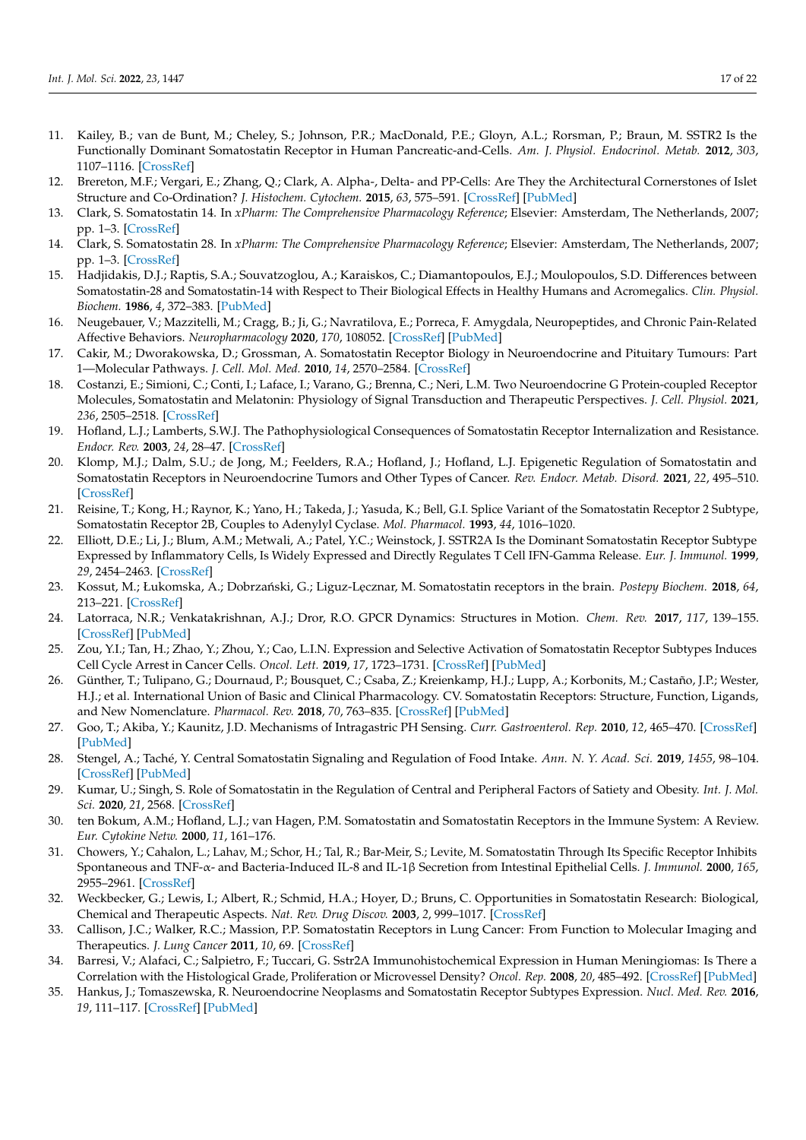- <span id="page-16-0"></span>11. Kailey, B.; van de Bunt, M.; Cheley, S.; Johnson, P.R.; MacDonald, P.E.; Gloyn, A.L.; Rorsman, P.; Braun, M. SSTR2 Is the Functionally Dominant Somatostatin Receptor in Human Pancreatic-and-Cells. *Am. J. Physiol. Endocrinol. Metab.* **2012**, *303*, 1107–1116. [\[CrossRef\]](http://doi.org/10.1152/ajpendo.00207.2012)
- <span id="page-16-1"></span>12. Brereton, M.F.; Vergari, E.; Zhang, Q.; Clark, A. Alpha-, Delta- and PP-Cells: Are They the Architectural Cornerstones of Islet Structure and Co-Ordination? *J. Histochem. Cytochem.* **2015**, *63*, 575–591. [\[CrossRef\]](http://doi.org/10.1369/0022155415583535) [\[PubMed\]](http://www.ncbi.nlm.nih.gov/pubmed/26216135)
- <span id="page-16-2"></span>13. Clark, S. Somatostatin 14. In *xPharm: The Comprehensive Pharmacology Reference*; Elsevier: Amsterdam, The Netherlands, 2007; pp. 1–3. [\[CrossRef\]](http://doi.org/10.1016/B978-008055232-3.62644-3)
- <span id="page-16-3"></span>14. Clark, S. Somatostatin 28. In *xPharm: The Comprehensive Pharmacology Reference*; Elsevier: Amsterdam, The Netherlands, 2007; pp. 1–3. [\[CrossRef\]](http://doi.org/10.1016/B978-008055232-3.62645-5)
- <span id="page-16-4"></span>15. Hadjidakis, D.J.; Raptis, S.A.; Souvatzoglou, A.; Karaiskos, C.; Diamantopoulos, E.J.; Moulopoulos, S.D. Differences between Somatostatin-28 and Somatostatin-14 with Respect to Their Biological Effects in Healthy Humans and Acromegalics. *Clin. Physiol. Biochem.* **1986**, *4*, 372–383. [\[PubMed\]](http://www.ncbi.nlm.nih.gov/pubmed/2880690)
- <span id="page-16-5"></span>16. Neugebauer, V.; Mazzitelli, M.; Cragg, B.; Ji, G.; Navratilova, E.; Porreca, F. Amygdala, Neuropeptides, and Chronic Pain-Related Affective Behaviors. *Neuropharmacology* **2020**, *170*, 108052. [\[CrossRef\]](http://doi.org/10.1016/j.neuropharm.2020.108052) [\[PubMed\]](http://www.ncbi.nlm.nih.gov/pubmed/32188569)
- <span id="page-16-6"></span>17. Cakir, M.; Dworakowska, D.; Grossman, A. Somatostatin Receptor Biology in Neuroendocrine and Pituitary Tumours: Part 1—Molecular Pathways. *J. Cell. Mol. Med.* **2010**, *14*, 2570–2584. [\[CrossRef\]](http://doi.org/10.1111/j.1582-4934.2010.01125.x)
- <span id="page-16-7"></span>18. Costanzi, E.; Simioni, C.; Conti, I.; Laface, I.; Varano, G.; Brenna, C.; Neri, L.M. Two Neuroendocrine G Protein-coupled Receptor Molecules, Somatostatin and Melatonin: Physiology of Signal Transduction and Therapeutic Perspectives. *J. Cell. Physiol.* **2021**, *236*, 2505–2518. [\[CrossRef\]](http://doi.org/10.1002/jcp.30062)
- <span id="page-16-8"></span>19. Hofland, L.J.; Lamberts, S.W.J. The Pathophysiological Consequences of Somatostatin Receptor Internalization and Resistance. *Endocr. Rev.* **2003**, *24*, 28–47. [\[CrossRef\]](http://doi.org/10.1210/er.2000-0001)
- <span id="page-16-9"></span>20. Klomp, M.J.; Dalm, S.U.; de Jong, M.; Feelders, R.A.; Hofland, J.; Hofland, L.J. Epigenetic Regulation of Somatostatin and Somatostatin Receptors in Neuroendocrine Tumors and Other Types of Cancer. *Rev. Endocr. Metab. Disord.* **2021**, *22*, 495–510. [\[CrossRef\]](http://doi.org/10.1007/s11154-020-09607-z)
- <span id="page-16-10"></span>21. Reisine, T.; Kong, H.; Raynor, K.; Yano, H.; Takeda, J.; Yasuda, K.; Bell, G.I. Splice Variant of the Somatostatin Receptor 2 Subtype, Somatostatin Receptor 2B, Couples to Adenylyl Cyclase. *Mol. Pharmacol.* **1993**, *44*, 1016–1020.
- <span id="page-16-11"></span>22. Elliott, D.E.; Li, J.; Blum, A.M.; Metwali, A.; Patel, Y.C.; Weinstock, J. SSTR2A Is the Dominant Somatostatin Receptor Subtype Expressed by Inflammatory Cells, Is Widely Expressed and Directly Regulates T Cell IFN-Gamma Release. *Eur. J. Immunol.* **1999**, *29*, 2454–2463. [\[CrossRef\]](http://doi.org/10.1002/(SICI)1521-4141(199908)29:08<2454::AID-IMMU2454>3.0.CO;2-H)
- <span id="page-16-12"></span>23. Kossut, M.; Łukomska, A.; Dobrzański, G.; Liguz-Lecznar, M. Somatostatin receptors in the brain. *Postepy Biochem.* 2018, 64, 213–221. [\[CrossRef\]](http://doi.org/10.18388/pb.2018_133)
- <span id="page-16-13"></span>24. Latorraca, N.R.; Venkatakrishnan, A.J.; Dror, R.O. GPCR Dynamics: Structures in Motion. *Chem. Rev.* **2017**, *117*, 139–155. [\[CrossRef\]](http://doi.org/10.1021/acs.chemrev.6b00177) [\[PubMed\]](http://www.ncbi.nlm.nih.gov/pubmed/27622975)
- <span id="page-16-14"></span>25. Zou, Y.I.; Tan, H.; Zhao, Y.; Zhou, Y.; Cao, L.I.N. Expression and Selective Activation of Somatostatin Receptor Subtypes Induces Cell Cycle Arrest in Cancer Cells. *Oncol. Lett.* **2019**, *17*, 1723–1731. [\[CrossRef\]](http://doi.org/10.3892/ol.2018.9773) [\[PubMed\]](http://www.ncbi.nlm.nih.gov/pubmed/30675231)
- <span id="page-16-15"></span>26. Günther, T.; Tulipano, G.; Dournaud, P.; Bousquet, C.; Csaba, Z.; Kreienkamp, H.J.; Lupp, A.; Korbonits, M.; Castaño, J.P.; Wester, H.J.; et al. International Union of Basic and Clinical Pharmacology. CV. Somatostatin Receptors: Structure, Function, Ligands, and New Nomenclature. *Pharmacol. Rev.* **2018**, *70*, 763–835. [\[CrossRef\]](http://doi.org/10.1124/pr.117.015388) [\[PubMed\]](http://www.ncbi.nlm.nih.gov/pubmed/30232095)
- <span id="page-16-16"></span>27. Goo, T.; Akiba, Y.; Kaunitz, J.D. Mechanisms of Intragastric PH Sensing. *Curr. Gastroenterol. Rep.* **2010**, *12*, 465–470. [\[CrossRef\]](http://doi.org/10.1007/s11894-010-0147-7) [\[PubMed\]](http://www.ncbi.nlm.nih.gov/pubmed/20938760)
- <span id="page-16-17"></span>28. Stengel, A.; Taché, Y. Central Somatostatin Signaling and Regulation of Food Intake. *Ann. N. Y. Acad. Sci.* **2019**, *1455*, 98–104. [\[CrossRef\]](http://doi.org/10.1111/nyas.14178) [\[PubMed\]](http://www.ncbi.nlm.nih.gov/pubmed/31237362)
- <span id="page-16-18"></span>29. Kumar, U.; Singh, S. Role of Somatostatin in the Regulation of Central and Peripheral Factors of Satiety and Obesity. *Int. J. Mol. Sci.* **2020**, *21*, 2568. [\[CrossRef\]](http://doi.org/10.3390/ijms21072568)
- <span id="page-16-19"></span>30. ten Bokum, A.M.; Hofland, L.J.; van Hagen, P.M. Somatostatin and Somatostatin Receptors in the Immune System: A Review. *Eur. Cytokine Netw.* **2000**, *11*, 161–176.
- <span id="page-16-20"></span>31. Chowers, Y.; Cahalon, L.; Lahav, M.; Schor, H.; Tal, R.; Bar-Meir, S.; Levite, M. Somatostatin Through Its Specific Receptor Inhibits Spontaneous and TNF-α- and Bacteria-Induced IL-8 and IL-1β Secretion from Intestinal Epithelial Cells. *J. Immunol.* **2000**, *165*, 2955–2961. [\[CrossRef\]](http://doi.org/10.4049/jimmunol.165.6.2955)
- <span id="page-16-21"></span>32. Weckbecker, G.; Lewis, I.; Albert, R.; Schmid, H.A.; Hoyer, D.; Bruns, C. Opportunities in Somatostatin Research: Biological, Chemical and Therapeutic Aspects. *Nat. Rev. Drug Discov.* **2003**, *2*, 999–1017. [\[CrossRef\]](http://doi.org/10.1038/nrd1255)
- <span id="page-16-22"></span>33. Callison, J.C.; Walker, R.C.; Massion, P.P. Somatostatin Receptors in Lung Cancer: From Function to Molecular Imaging and Therapeutics. *J. Lung Cancer* **2011**, *10*, 69. [\[CrossRef\]](http://doi.org/10.6058/jlc.2011.10.2.69)
- <span id="page-16-23"></span>34. Barresi, V.; Alafaci, C.; Salpietro, F.; Tuccari, G. Sstr2A Immunohistochemical Expression in Human Meningiomas: Is There a Correlation with the Histological Grade, Proliferation or Microvessel Density? *Oncol. Rep.* **2008**, *20*, 485–492. [\[CrossRef\]](http://doi.org/10.3892/or_00000032) [\[PubMed\]](http://www.ncbi.nlm.nih.gov/pubmed/18695896)
- <span id="page-16-24"></span>35. Hankus, J.; Tomaszewska, R. Neuroendocrine Neoplasms and Somatostatin Receptor Subtypes Expression. *Nucl. Med. Rev.* **2016**, *19*, 111–117. [\[CrossRef\]](http://doi.org/10.5603/NMR.2016.0022) [\[PubMed\]](http://www.ncbi.nlm.nih.gov/pubmed/27479788)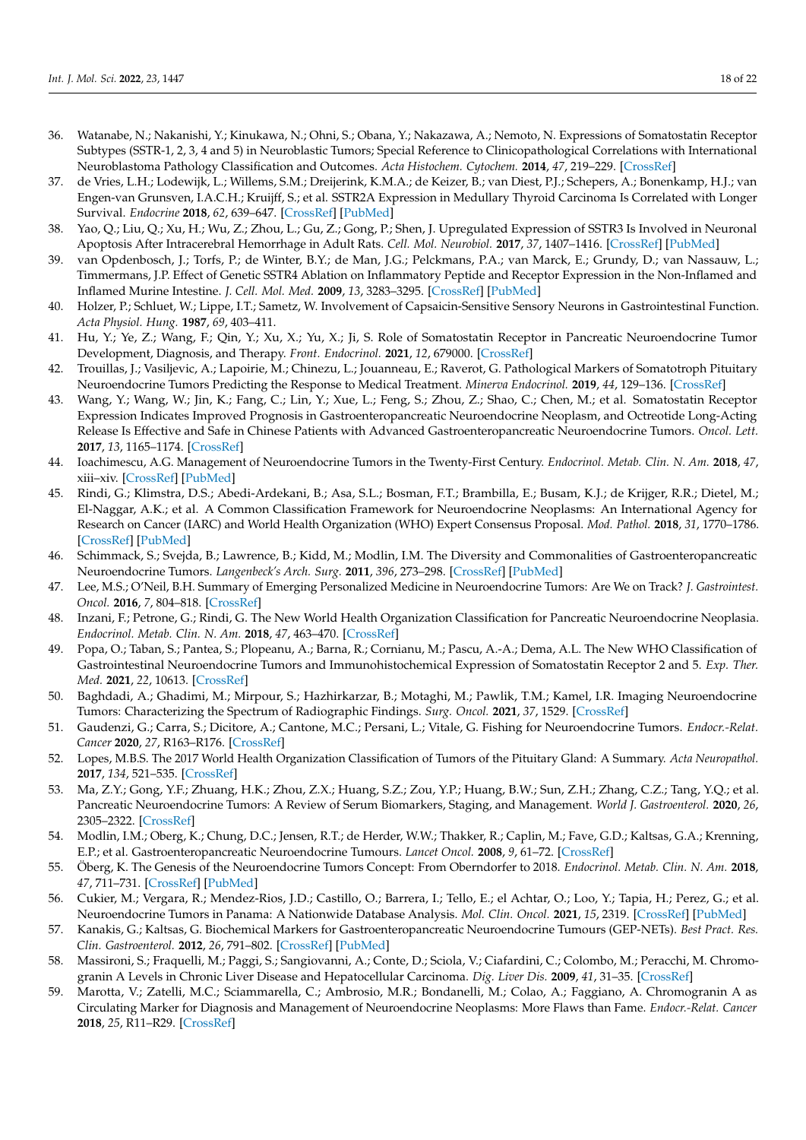- <span id="page-17-22"></span><span id="page-17-0"></span>36. Watanabe, N.; Nakanishi, Y.; Kinukawa, N.; Ohni, S.; Obana, Y.; Nakazawa, A.; Nemoto, N. Expressions of Somatostatin Receptor Subtypes (SSTR-1, 2, 3, 4 and 5) in Neuroblastic Tumors; Special Reference to Clinicopathological Correlations with International Neuroblastoma Pathology Classification and Outcomes. *Acta Histochem. Cytochem.* **2014**, *47*, 219–229. [\[CrossRef\]](http://doi.org/10.1267/ahc.14024)
- <span id="page-17-1"></span>37. de Vries, L.H.; Lodewijk, L.; Willems, S.M.; Dreijerink, K.M.A.; de Keizer, B.; van Diest, P.J.; Schepers, A.; Bonenkamp, H.J.; van Engen-van Grunsven, I.A.C.H.; Kruijff, S.; et al. SSTR2A Expression in Medullary Thyroid Carcinoma Is Correlated with Longer Survival. *Endocrine* **2018**, *62*, 639–647. [\[CrossRef\]](http://doi.org/10.1007/s12020-018-1706-1) [\[PubMed\]](http://www.ncbi.nlm.nih.gov/pubmed/30128959)
- <span id="page-17-2"></span>38. Yao, Q.; Liu, Q.; Xu, H.; Wu, Z.; Zhou, L.; Gu, Z.; Gong, P.; Shen, J. Upregulated Expression of SSTR3 Is Involved in Neuronal Apoptosis After Intracerebral Hemorrhage in Adult Rats. *Cell. Mol. Neurobiol.* **2017**, *37*, 1407–1416. [\[CrossRef\]](http://doi.org/10.1007/s10571-017-0471-7) [\[PubMed\]](http://www.ncbi.nlm.nih.gov/pubmed/28176050)
- <span id="page-17-3"></span>39. van Opdenbosch, J.; Torfs, P.; de Winter, B.Y.; de Man, J.G.; Pelckmans, P.A.; van Marck, E.; Grundy, D.; van Nassauw, L.; Timmermans, J.P. Effect of Genetic SSTR4 Ablation on Inflammatory Peptide and Receptor Expression in the Non-Inflamed and Inflamed Murine Intestine. *J. Cell. Mol. Med.* **2009**, *13*, 3283–3295. [\[CrossRef\]](http://doi.org/10.1111/j.1582-4934.2009.00760.x) [\[PubMed\]](http://www.ncbi.nlm.nih.gov/pubmed/19426160)
- <span id="page-17-21"></span><span id="page-17-4"></span>40. Holzer, P.; Schluet, W.; Lippe, I.T.; Sametz, W. Involvement of Capsaicin-Sensitive Sensory Neurons in Gastrointestinal Function. *Acta Physiol. Hung.* **1987**, *69*, 403–411.
- <span id="page-17-5"></span>41. Hu, Y.; Ye, Z.; Wang, F.; Qin, Y.; Xu, X.; Yu, X.; Ji, S. Role of Somatostatin Receptor in Pancreatic Neuroendocrine Tumor Development, Diagnosis, and Therapy. *Front. Endocrinol.* **2021**, *12*, 679000. [\[CrossRef\]](http://doi.org/10.3389/fendo.2021.679000)
- 42. Trouillas, J.; Vasiljevic, A.; Lapoirie, M.; Chinezu, L.; Jouanneau, E.; Raverot, G. Pathological Markers of Somatotroph Pituitary Neuroendocrine Tumors Predicting the Response to Medical Treatment. *Minerva Endocrinol.* **2019**, *44*, 129–136. [\[CrossRef\]](http://doi.org/10.23736/S0391-1977.18.02933-4)
- <span id="page-17-6"></span>43. Wang, Y.; Wang, W.; Jin, K.; Fang, C.; Lin, Y.; Xue, L.; Feng, S.; Zhou, Z.; Shao, C.; Chen, M.; et al. Somatostatin Receptor Expression Indicates Improved Prognosis in Gastroenteropancreatic Neuroendocrine Neoplasm, and Octreotide Long-Acting Release Is Effective and Safe in Chinese Patients with Advanced Gastroenteropancreatic Neuroendocrine Tumors. *Oncol. Lett.* **2017**, *13*, 1165–1174. [\[CrossRef\]](http://doi.org/10.3892/ol.2017.5591)
- <span id="page-17-7"></span>44. Ioachimescu, A.G. Management of Neuroendocrine Tumors in the Twenty-First Century. *Endocrinol. Metab. Clin. N. Am.* **2018**, *47*, xiii–xiv. [\[CrossRef\]](http://doi.org/10.1016/j.ecl.2018.05.005) [\[PubMed\]](http://www.ncbi.nlm.nih.gov/pubmed/30098727)
- <span id="page-17-8"></span>45. Rindi, G.; Klimstra, D.S.; Abedi-Ardekani, B.; Asa, S.L.; Bosman, F.T.; Brambilla, E.; Busam, K.J.; de Krijger, R.R.; Dietel, M.; El-Naggar, A.K.; et al. A Common Classification Framework for Neuroendocrine Neoplasms: An International Agency for Research on Cancer (IARC) and World Health Organization (WHO) Expert Consensus Proposal. *Mod. Pathol.* **2018**, *31*, 1770–1786. [\[CrossRef\]](http://doi.org/10.1038/s41379-018-0110-y) [\[PubMed\]](http://www.ncbi.nlm.nih.gov/pubmed/30140036)
- <span id="page-17-9"></span>46. Schimmack, S.; Svejda, B.; Lawrence, B.; Kidd, M.; Modlin, I.M. The Diversity and Commonalities of Gastroenteropancreatic Neuroendocrine Tumors. *Langenbeck's Arch. Surg.* **2011**, *396*, 273–298. [\[CrossRef\]](http://doi.org/10.1007/s00423-011-0739-1) [\[PubMed\]](http://www.ncbi.nlm.nih.gov/pubmed/21274559)
- <span id="page-17-10"></span>47. Lee, M.S.; O'Neil, B.H. Summary of Emerging Personalized Medicine in Neuroendocrine Tumors: Are We on Track? *J. Gastrointest. Oncol.* **2016**, *7*, 804–818. [\[CrossRef\]](http://doi.org/10.21037/jgo.2016.08.05)
- 48. Inzani, F.; Petrone, G.; Rindi, G. The New World Health Organization Classification for Pancreatic Neuroendocrine Neoplasia. *Endocrinol. Metab. Clin. N. Am.* **2018**, *47*, 463–470. [\[CrossRef\]](http://doi.org/10.1016/j.ecl.2018.04.008)
- <span id="page-17-11"></span>49. Popa, O.; Taban, S.; Pantea, S.; Plopeanu, A.; Barna, R.; Cornianu, M.; Pascu, A.-A.; Dema, A.L. The New WHO Classification of Gastrointestinal Neuroendocrine Tumors and Immunohistochemical Expression of Somatostatin Receptor 2 and 5. *Exp. Ther. Med.* **2021**, *22*, 10613. [\[CrossRef\]](http://doi.org/10.3892/etm.2021.10613)
- <span id="page-17-12"></span>50. Baghdadi, A.; Ghadimi, M.; Mirpour, S.; Hazhirkarzar, B.; Motaghi, M.; Pawlik, T.M.; Kamel, I.R. Imaging Neuroendocrine Tumors: Characterizing the Spectrum of Radiographic Findings. *Surg. Oncol.* **2021**, *37*, 1529. [\[CrossRef\]](http://doi.org/10.1016/j.suronc.2021.101529)
- <span id="page-17-13"></span>51. Gaudenzi, G.; Carra, S.; Dicitore, A.; Cantone, M.C.; Persani, L.; Vitale, G. Fishing for Neuroendocrine Tumors. *Endocr.-Relat. Cancer* **2020**, *27*, R163–R176. [\[CrossRef\]](http://doi.org/10.1530/ERC-19-0437)
- <span id="page-17-14"></span>52. Lopes, M.B.S. The 2017 World Health Organization Classification of Tumors of the Pituitary Gland: A Summary. *Acta Neuropathol.* **2017**, *134*, 521–535. [\[CrossRef\]](http://doi.org/10.1007/s00401-017-1769-8)
- <span id="page-17-15"></span>53. Ma, Z.Y.; Gong, Y.F.; Zhuang, H.K.; Zhou, Z.X.; Huang, S.Z.; Zou, Y.P.; Huang, B.W.; Sun, Z.H.; Zhang, C.Z.; Tang, Y.Q.; et al. Pancreatic Neuroendocrine Tumors: A Review of Serum Biomarkers, Staging, and Management. *World J. Gastroenterol.* **2020**, *26*, 2305–2322. [\[CrossRef\]](http://doi.org/10.3748/wjg.v26.i19.2305)
- <span id="page-17-16"></span>54. Modlin, I.M.; Oberg, K.; Chung, D.C.; Jensen, R.T.; de Herder, W.W.; Thakker, R.; Caplin, M.; Fave, G.D.; Kaltsas, G.A.; Krenning, E.P.; et al. Gastroenteropancreatic Neuroendocrine Tumours. *Lancet Oncol.* **2008**, *9*, 61–72. [\[CrossRef\]](http://doi.org/10.1016/S1470-2045(07)70410-2)
- <span id="page-17-17"></span>55. Öberg, K. The Genesis of the Neuroendocrine Tumors Concept: From Oberndorfer to 2018. *Endocrinol. Metab. Clin. N. Am.* **2018**, *47*, 711–731. [\[CrossRef\]](http://doi.org/10.1016/j.ecl.2018.05.003) [\[PubMed\]](http://www.ncbi.nlm.nih.gov/pubmed/30098726)
- <span id="page-17-18"></span>56. Cukier, M.; Vergara, R.; Mendez-Rios, J.D.; Castillo, O.; Barrera, I.; Tello, E.; el Achtar, O.; Loo, Y.; Tapia, H.; Perez, G.; et al. Neuroendocrine Tumors in Panama: A Nationwide Database Analysis. *Mol. Clin. Oncol.* **2021**, *15*, 2319. [\[CrossRef\]](http://doi.org/10.3892/mco.2021.2319) [\[PubMed\]](http://www.ncbi.nlm.nih.gov/pubmed/34178328)
- <span id="page-17-19"></span>57. Kanakis, G.; Kaltsas, G. Biochemical Markers for Gastroenteropancreatic Neuroendocrine Tumours (GEP-NETs). *Best Pract. Res. Clin. Gastroenterol.* **2012**, *26*, 791–802. [\[CrossRef\]](http://doi.org/10.1016/j.bpg.2012.12.006) [\[PubMed\]](http://www.ncbi.nlm.nih.gov/pubmed/23582919)
- <span id="page-17-20"></span>58. Massironi, S.; Fraquelli, M.; Paggi, S.; Sangiovanni, A.; Conte, D.; Sciola, V.; Ciafardini, C.; Colombo, M.; Peracchi, M. Chromogranin A Levels in Chronic Liver Disease and Hepatocellular Carcinoma. *Dig. Liver Dis.* **2009**, *41*, 31–35. [\[CrossRef\]](http://doi.org/10.1016/j.dld.2008.05.002)
- 59. Marotta, V.; Zatelli, M.C.; Sciammarella, C.; Ambrosio, M.R.; Bondanelli, M.; Colao, A.; Faggiano, A. Chromogranin A as Circulating Marker for Diagnosis and Management of Neuroendocrine Neoplasms: More Flaws than Fame. *Endocr.-Relat. Cancer* **2018**, *25*, R11–R29. [\[CrossRef\]](http://doi.org/10.1530/ERC-17-0269)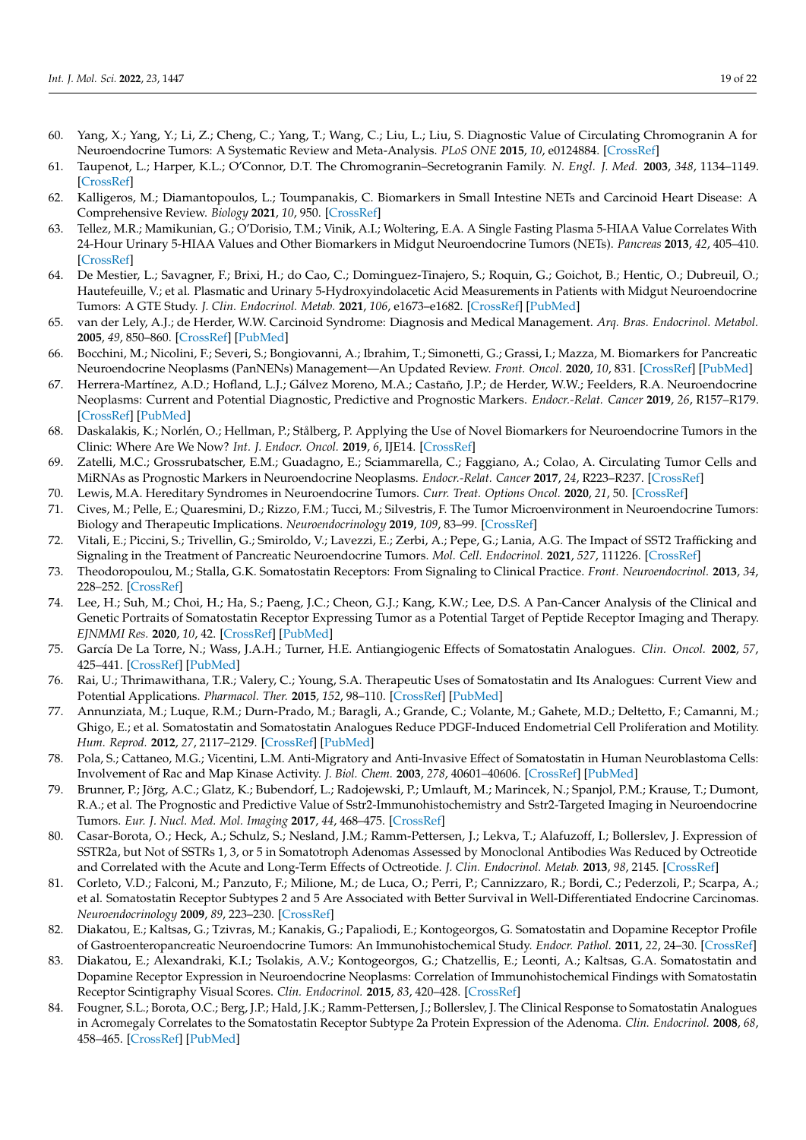- 60. Yang, X.; Yang, Y.; Li, Z.; Cheng, C.; Yang, T.; Wang, C.; Liu, L.; Liu, S. Diagnostic Value of Circulating Chromogranin A for Neuroendocrine Tumors: A Systematic Review and Meta-Analysis. *PLoS ONE* **2015**, *10*, e0124884. [\[CrossRef\]](http://doi.org/10.1371/journal.pone.0124884)
- 61. Taupenot, L.; Harper, K.L.; O'Connor, D.T. The Chromogranin–Secretogranin Family. *N. Engl. J. Med.* **2003**, *348*, 1134–1149. [\[CrossRef\]](http://doi.org/10.1056/NEJMra021405)
- <span id="page-18-0"></span>62. Kalligeros, M.; Diamantopoulos, L.; Toumpanakis, C. Biomarkers in Small Intestine NETs and Carcinoid Heart Disease: A Comprehensive Review. *Biology* **2021**, *10*, 950. [\[CrossRef\]](http://doi.org/10.3390/biology10100950)
- <span id="page-18-1"></span>63. Tellez, M.R.; Mamikunian, G.; O'Dorisio, T.M.; Vinik, A.I.; Woltering, E.A. A Single Fasting Plasma 5-HIAA Value Correlates With 24-Hour Urinary 5-HIAA Values and Other Biomarkers in Midgut Neuroendocrine Tumors (NETs). *Pancreas* **2013**, *42*, 405–410. [\[CrossRef\]](http://doi.org/10.1097/MPA.0b013e318271c0d5)
- 64. De Mestier, L.; Savagner, F.; Brixi, H.; do Cao, C.; Dominguez-Tinajero, S.; Roquin, G.; Goichot, B.; Hentic, O.; Dubreuil, O.; Hautefeuille, V.; et al. Plasmatic and Urinary 5-Hydroxyindolacetic Acid Measurements in Patients with Midgut Neuroendocrine Tumors: A GTE Study. *J. Clin. Endocrinol. Metab.* **2021**, *106*, e1673–e1682. [\[CrossRef\]](http://doi.org/10.1210/clinem/dgaa924) [\[PubMed\]](http://www.ncbi.nlm.nih.gov/pubmed/33382891)
- <span id="page-18-2"></span>65. van der Lely, A.J.; de Herder, W.W. Carcinoid Syndrome: Diagnosis and Medical Management. *Arq. Bras. Endocrinol. Metabol.* **2005**, *49*, 850–860. [\[CrossRef\]](http://doi.org/10.1590/S0004-27302005000500028) [\[PubMed\]](http://www.ncbi.nlm.nih.gov/pubmed/16444370)
- <span id="page-18-3"></span>66. Bocchini, M.; Nicolini, F.; Severi, S.; Bongiovanni, A.; Ibrahim, T.; Simonetti, G.; Grassi, I.; Mazza, M. Biomarkers for Pancreatic Neuroendocrine Neoplasms (PanNENs) Management—An Updated Review. *Front. Oncol.* **2020**, *10*, 831. [\[CrossRef\]](http://doi.org/10.3389/fonc.2020.00831) [\[PubMed\]](http://www.ncbi.nlm.nih.gov/pubmed/32537434)
- <span id="page-18-4"></span>67. Herrera-Martínez, A.D.; Hofland, L.J.; Gálvez Moreno, M.A.; Castaño, J.P.; de Herder, W.W.; Feelders, R.A. Neuroendocrine Neoplasms: Current and Potential Diagnostic, Predictive and Prognostic Markers. *Endocr.-Relat. Cancer* **2019**, *26*, R157–R179. [\[CrossRef\]](http://doi.org/10.1530/ERC-18-0354) [\[PubMed\]](http://www.ncbi.nlm.nih.gov/pubmed/30615596)
- <span id="page-18-5"></span>68. Daskalakis, K.; Norlén, O.; Hellman, P.; Stålberg, P. Applying the Use of Novel Biomarkers for Neuroendocrine Tumors in the Clinic: Where Are We Now? *Int. J. Endocr. Oncol.* **2019**, *6*, IJE14. [\[CrossRef\]](http://doi.org/10.2217/ije-2017-0012)
- <span id="page-18-17"></span><span id="page-18-6"></span>69. Zatelli, M.C.; Grossrubatscher, E.M.; Guadagno, E.; Sciammarella, C.; Faggiano, A.; Colao, A. Circulating Tumor Cells and MiRNAs as Prognostic Markers in Neuroendocrine Neoplasms. *Endocr.-Relat. Cancer* **2017**, *24*, R223–R237. [\[CrossRef\]](http://doi.org/10.1530/ERC-17-0091)
- <span id="page-18-18"></span><span id="page-18-7"></span>70. Lewis, M.A. Hereditary Syndromes in Neuroendocrine Tumors. *Curr. Treat. Options Oncol.* **2020**, *21*, 50. [\[CrossRef\]](http://doi.org/10.1007/s11864-020-00749-5)
- <span id="page-18-8"></span>71. Cives, M.; Pelle, E.; Quaresmini, D.; Rizzo, F.M.; Tucci, M.; Silvestris, F. The Tumor Microenvironment in Neuroendocrine Tumors: Biology and Therapeutic Implications. *Neuroendocrinology* **2019**, *109*, 83–99. [\[CrossRef\]](http://doi.org/10.1159/000497355)
- <span id="page-18-19"></span><span id="page-18-9"></span>72. Vitali, E.; Piccini, S.; Trivellin, G.; Smiroldo, V.; Lavezzi, E.; Zerbi, A.; Pepe, G.; Lania, A.G. The Impact of SST2 Trafficking and Signaling in the Treatment of Pancreatic Neuroendocrine Tumors. *Mol. Cell. Endocrinol.* **2021**, *527*, 111226. [\[CrossRef\]](http://doi.org/10.1016/j.mce.2021.111226)
- <span id="page-18-10"></span>73. Theodoropoulou, M.; Stalla, G.K. Somatostatin Receptors: From Signaling to Clinical Practice. *Front. Neuroendocrinol.* **2013**, *34*, 228–252. [\[CrossRef\]](http://doi.org/10.1016/j.yfrne.2013.07.005)
- <span id="page-18-21"></span><span id="page-18-20"></span><span id="page-18-11"></span>74. Lee, H.; Suh, M.; Choi, H.; Ha, S.; Paeng, J.C.; Cheon, G.J.; Kang, K.W.; Lee, D.S. A Pan-Cancer Analysis of the Clinical and Genetic Portraits of Somatostatin Receptor Expressing Tumor as a Potential Target of Peptide Receptor Imaging and Therapy. *EJNMMI Res.* **2020**, *10*, 42. [\[CrossRef\]](http://doi.org/10.1186/s13550-020-00632-2) [\[PubMed\]](http://www.ncbi.nlm.nih.gov/pubmed/32335823)
- <span id="page-18-12"></span>75. García De La Torre, N.; Wass, J.A.H.; Turner, H.E. Antiangiogenic Effects of Somatostatin Analogues. *Clin. Oncol.* **2002**, *57*, 425–441. [\[CrossRef\]](http://doi.org/10.1046/j.1365-2265.2002.01619.x) [\[PubMed\]](http://www.ncbi.nlm.nih.gov/pubmed/12354124)
- <span id="page-18-22"></span>76. Rai, U.; Thrimawithana, T.R.; Valery, C.; Young, S.A. Therapeutic Uses of Somatostatin and Its Analogues: Current View and Potential Applications. *Pharmacol. Ther.* **2015**, *152*, 98–110. [\[CrossRef\]](http://doi.org/10.1016/j.pharmthera.2015.05.007) [\[PubMed\]](http://www.ncbi.nlm.nih.gov/pubmed/25956467)
- 77. Annunziata, M.; Luque, R.M.; Durn-Prado, M.; Baragli, A.; Grande, C.; Volante, M.; Gahete, M.D.; Deltetto, F.; Camanni, M.; Ghigo, E.; et al. Somatostatin and Somatostatin Analogues Reduce PDGF-Induced Endometrial Cell Proliferation and Motility. *Hum. Reprod.* **2012**, *27*, 2117–2129. [\[CrossRef\]](http://doi.org/10.1093/humrep/des144) [\[PubMed\]](http://www.ncbi.nlm.nih.gov/pubmed/22588000)
- <span id="page-18-13"></span>78. Pola, S.; Cattaneo, M.G.; Vicentini, L.M. Anti-Migratory and Anti-Invasive Effect of Somatostatin in Human Neuroblastoma Cells: Involvement of Rac and Map Kinase Activity. *J. Biol. Chem.* **2003**, *278*, 40601–40606. [\[CrossRef\]](http://doi.org/10.1074/jbc.M306510200) [\[PubMed\]](http://www.ncbi.nlm.nih.gov/pubmed/12902325)
- <span id="page-18-14"></span>79. Brunner, P.; Jörg, A.C.; Glatz, K.; Bubendorf, L.; Radojewski, P.; Umlauft, M.; Marincek, N.; Spanjol, P.M.; Krause, T.; Dumont, R.A.; et al. The Prognostic and Predictive Value of Sstr2-Immunohistochemistry and Sstr2-Targeted Imaging in Neuroendocrine Tumors. *Eur. J. Nucl. Med. Mol. Imaging* **2017**, *44*, 468–475. [\[CrossRef\]](http://doi.org/10.1007/s00259-016-3486-2)
- 80. Casar-Borota, O.; Heck, A.; Schulz, S.; Nesland, J.M.; Ramm-Pettersen, J.; Lekva, T.; Alafuzoff, I.; Bollerslev, J. Expression of SSTR2a, but Not of SSTRs 1, 3, or 5 in Somatotroph Adenomas Assessed by Monoclonal Antibodies Was Reduced by Octreotide and Correlated with the Acute and Long-Term Effects of Octreotide. *J. Clin. Endocrinol. Metab.* **2013**, *98*, 2145. [\[CrossRef\]](http://doi.org/10.1210/jc.2013-2145)
- <span id="page-18-15"></span>81. Corleto, V.D.; Falconi, M.; Panzuto, F.; Milione, M.; de Luca, O.; Perri, P.; Cannizzaro, R.; Bordi, C.; Pederzoli, P.; Scarpa, A.; et al. Somatostatin Receptor Subtypes 2 and 5 Are Associated with Better Survival in Well-Differentiated Endocrine Carcinomas. *Neuroendocrinology* **2009**, *89*, 223–230. [\[CrossRef\]](http://doi.org/10.1159/000167796)
- <span id="page-18-16"></span>82. Diakatou, E.; Kaltsas, G.; Tzivras, M.; Kanakis, G.; Papaliodi, E.; Kontogeorgos, G. Somatostatin and Dopamine Receptor Profile of Gastroenteropancreatic Neuroendocrine Tumors: An Immunohistochemical Study. *Endocr. Pathol.* **2011**, *22*, 24–30. [\[CrossRef\]](http://doi.org/10.1007/s12022-011-9149-8)
- 83. Diakatou, E.; Alexandraki, K.I.; Tsolakis, A.V.; Kontogeorgos, G.; Chatzellis, E.; Leonti, A.; Kaltsas, G.A. Somatostatin and Dopamine Receptor Expression in Neuroendocrine Neoplasms: Correlation of Immunohistochemical Findings with Somatostatin Receptor Scintigraphy Visual Scores. *Clin. Endocrinol.* **2015**, *83*, 420–428. [\[CrossRef\]](http://doi.org/10.1111/cen.12775)
- <span id="page-18-23"></span>84. Fougner, S.L.; Borota, O.C.; Berg, J.P.; Hald, J.K.; Ramm-Pettersen, J.; Bollerslev, J. The Clinical Response to Somatostatin Analogues in Acromegaly Correlates to the Somatostatin Receptor Subtype 2a Protein Expression of the Adenoma. *Clin. Endocrinol.* **2008**, *68*, 458–465. [\[CrossRef\]](http://doi.org/10.1111/j.1365-2265.2007.03065.x) [\[PubMed\]](http://www.ncbi.nlm.nih.gov/pubmed/17941904)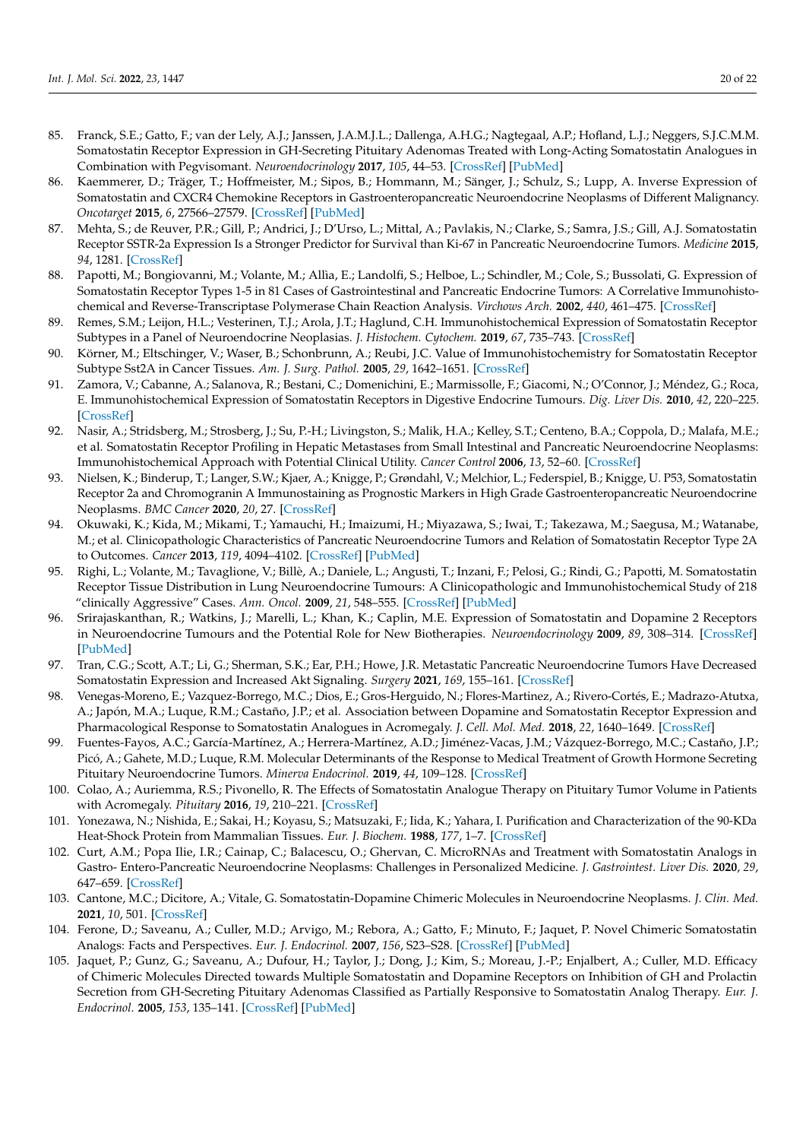- <span id="page-19-15"></span><span id="page-19-14"></span><span id="page-19-10"></span><span id="page-19-9"></span><span id="page-19-8"></span><span id="page-19-7"></span><span id="page-19-6"></span><span id="page-19-5"></span>85. Franck, S.E.; Gatto, F.; van der Lely, A.J.; Janssen, J.A.M.J.L.; Dallenga, A.H.G.; Nagtegaal, A.P.; Hofland, L.J.; Neggers, S.J.C.M.M. Somatostatin Receptor Expression in GH-Secreting Pituitary Adenomas Treated with Long-Acting Somatostatin Analogues in Combination with Pegvisomant. *Neuroendocrinology* **2017**, *105*, 44–53. [\[CrossRef\]](http://doi.org/10.1159/000448429) [\[PubMed\]](http://www.ncbi.nlm.nih.gov/pubmed/27455094)
- <span id="page-19-16"></span><span id="page-19-11"></span>86. Kaemmerer, D.; Träger, T.; Hoffmeister, M.; Sipos, B.; Hommann, M.; Sänger, J.; Schulz, S.; Lupp, A. Inverse Expression of Somatostatin and CXCR4 Chemokine Receptors in Gastroenteropancreatic Neuroendocrine Neoplasms of Different Malignancy. *Oncotarget* **2015**, *6*, 27566–27579. [\[CrossRef\]](http://doi.org/10.18632/oncotarget.4491) [\[PubMed\]](http://www.ncbi.nlm.nih.gov/pubmed/26259237)
- <span id="page-19-12"></span><span id="page-19-0"></span>87. Mehta, S.; de Reuver, P.R.; Gill, P.; Andrici, J.; D'Urso, L.; Mittal, A.; Pavlakis, N.; Clarke, S.; Samra, J.S.; Gill, A.J. Somatostatin Receptor SSTR-2a Expression Is a Stronger Predictor for Survival than Ki-67 in Pancreatic Neuroendocrine Tumors. *Medicine* **2015**, *94*, 1281. [\[CrossRef\]](http://doi.org/10.1097/MD.0000000000001281)
- <span id="page-19-13"></span><span id="page-19-1"></span>88. Papotti, M.; Bongiovanni, M.; Volante, M.; Allìa, E.; Landolfi, S.; Helboe, L.; Schindler, M.; Cole, S.; Bussolati, G. Expression of Somatostatin Receptor Types 1-5 in 81 Cases of Gastrointestinal and Pancreatic Endocrine Tumors: A Correlative Immunohistochemical and Reverse-Transcriptase Polymerase Chain Reaction Analysis. *Virchows Arch.* **2002**, *440*, 461–475. [\[CrossRef\]](http://doi.org/10.1007/s00428-002-0609-x)
- <span id="page-19-2"></span>89. Remes, S.M.; Leijon, H.L.; Vesterinen, T.J.; Arola, J.T.; Haglund, C.H. Immunohistochemical Expression of Somatostatin Receptor Subtypes in a Panel of Neuroendocrine Neoplasias. *J. Histochem. Cytochem.* **2019**, *67*, 735–743. [\[CrossRef\]](http://doi.org/10.1369/0022155419856900)
- <span id="page-19-3"></span>90. Körner, M.; Eltschinger, V.; Waser, B.; Schonbrunn, A.; Reubi, J.C. Value of Immunohistochemistry for Somatostatin Receptor Subtype Sst2A in Cancer Tissues. *Am. J. Surg. Pathol.* **2005**, *29*, 1642–1651. [\[CrossRef\]](http://doi.org/10.1097/01.pas.0000174013.14569.90)
- <span id="page-19-4"></span>91. Zamora, V.; Cabanne, A.; Salanova, R.; Bestani, C.; Domenichini, E.; Marmissolle, F.; Giacomi, N.; O'Connor, J.; Méndez, G.; Roca, E. Immunohistochemical Expression of Somatostatin Receptors in Digestive Endocrine Tumours. *Dig. Liver Dis.* **2010**, *42*, 220–225. [\[CrossRef\]](http://doi.org/10.1016/j.dld.2009.07.018)
- 92. Nasir, A.; Stridsberg, M.; Strosberg, J.; Su, P.-H.; Livingston, S.; Malik, H.A.; Kelley, S.T.; Centeno, B.A.; Coppola, D.; Malafa, M.E.; et al. Somatostatin Receptor Profiling in Hepatic Metastases from Small Intestinal and Pancreatic Neuroendocrine Neoplasms: Immunohistochemical Approach with Potential Clinical Utility. *Cancer Control* **2006**, *13*, 52–60. [\[CrossRef\]](http://doi.org/10.1177/107327480601300108)
- <span id="page-19-19"></span>93. Nielsen, K.; Binderup, T.; Langer, S.W.; Kjaer, A.; Knigge, P.; Grøndahl, V.; Melchior, L.; Federspiel, B.; Knigge, U. P53, Somatostatin Receptor 2a and Chromogranin A Immunostaining as Prognostic Markers in High Grade Gastroenteropancreatic Neuroendocrine Neoplasms. *BMC Cancer* **2020**, *20*, 27. [\[CrossRef\]](http://doi.org/10.1186/s12885-019-6498-z)
- <span id="page-19-20"></span>94. Okuwaki, K.; Kida, M.; Mikami, T.; Yamauchi, H.; Imaizumi, H.; Miyazawa, S.; Iwai, T.; Takezawa, M.; Saegusa, M.; Watanabe, M.; et al. Clinicopathologic Characteristics of Pancreatic Neuroendocrine Tumors and Relation of Somatostatin Receptor Type 2A to Outcomes. *Cancer* **2013**, *119*, 4094–4102. [\[CrossRef\]](http://doi.org/10.1002/cncr.28341) [\[PubMed\]](http://www.ncbi.nlm.nih.gov/pubmed/24022344)
- <span id="page-19-17"></span>95. Righi, L.; Volante, M.; Tavaglione, V.; Billè, A.; Daniele, L.; Angusti, T.; Inzani, F.; Pelosi, G.; Rindi, G.; Papotti, M. Somatostatin Receptor Tissue Distribution in Lung Neuroendocrine Tumours: A Clinicopathologic and Immunohistochemical Study of 218 "clinically Aggressive" Cases. *Ann. Oncol.* **2009**, *21*, 548–555. [\[CrossRef\]](http://doi.org/10.1093/annonc/mdp334) [\[PubMed\]](http://www.ncbi.nlm.nih.gov/pubmed/19759190)
- <span id="page-19-18"></span>96. Srirajaskanthan, R.; Watkins, J.; Marelli, L.; Khan, K.; Caplin, M.E. Expression of Somatostatin and Dopamine 2 Receptors in Neuroendocrine Tumours and the Potential Role for New Biotherapies. *Neuroendocrinology* **2009**, *89*, 308–314. [\[CrossRef\]](http://doi.org/10.1159/000179899) [\[PubMed\]](http://www.ncbi.nlm.nih.gov/pubmed/19307732)
- <span id="page-19-21"></span>97. Tran, C.G.; Scott, A.T.; Li, G.; Sherman, S.K.; Ear, P.H.; Howe, J.R. Metastatic Pancreatic Neuroendocrine Tumors Have Decreased Somatostatin Expression and Increased Akt Signaling. *Surgery* **2021**, *169*, 155–161. [\[CrossRef\]](http://doi.org/10.1016/j.surg.2020.04.034)
- <span id="page-19-22"></span>98. Venegas-Moreno, E.; Vazquez-Borrego, M.C.; Dios, E.; Gros-Herguido, N.; Flores-Martinez, A.; Rivero-Cortés, E.; Madrazo-Atutxa, A.; Japón, M.A.; Luque, R.M.; Castaño, J.P.; et al. Association between Dopamine and Somatostatin Receptor Expression and Pharmacological Response to Somatostatin Analogues in Acromegaly. *J. Cell. Mol. Med.* **2018**, *22*, 1640–1649. [\[CrossRef\]](http://doi.org/10.1111/jcmm.13440)
- <span id="page-19-24"></span>99. Fuentes-Fayos, A.C.; García-Martínez, A.; Herrera-Martínez, A.D.; Jiménez-Vacas, J.M.; Vázquez-Borrego, M.C.; Castaño, J.P.; Picó, A.; Gahete, M.D.; Luque, R.M. Molecular Determinants of the Response to Medical Treatment of Growth Hormone Secreting Pituitary Neuroendocrine Tumors. *Minerva Endocrinol.* **2019**, *44*, 109–128. [\[CrossRef\]](http://doi.org/10.23736/S0391-1977.19.02970-5)
- <span id="page-19-23"></span>100. Colao, A.; Auriemma, R.S.; Pivonello, R. The Effects of Somatostatin Analogue Therapy on Pituitary Tumor Volume in Patients with Acromegaly. *Pituitary* **2016**, *19*, 210–221. [\[CrossRef\]](http://doi.org/10.1007/s11102-015-0677-y)
- <span id="page-19-25"></span>101. Yonezawa, N.; Nishida, E.; Sakai, H.; Koyasu, S.; Matsuzaki, F.; Iida, K.; Yahara, I. Purification and Characterization of the 90-KDa Heat-Shock Protein from Mammalian Tissues. *Eur. J. Biochem.* **1988**, *177*, 1–7. [\[CrossRef\]](http://doi.org/10.1111/j.1432-1033.1988.tb14337.x)
- <span id="page-19-26"></span>102. Curt, A.M.; Popa Ilie, I.R.; Cainap, C.; Balacescu, O.; Ghervan, C. MicroRNAs and Treatment with Somatostatin Analogs in Gastro- Entero-Pancreatic Neuroendocrine Neoplasms: Challenges in Personalized Medicine. *J. Gastrointest. Liver Dis.* **2020**, *29*, 647–659. [\[CrossRef\]](http://doi.org/10.15403/jgld-2866)
- <span id="page-19-27"></span>103. Cantone, M.C.; Dicitore, A.; Vitale, G. Somatostatin-Dopamine Chimeric Molecules in Neuroendocrine Neoplasms. *J. Clin. Med.* **2021**, *10*, 501. [\[CrossRef\]](http://doi.org/10.3390/jcm10030501)
- <span id="page-19-28"></span>104. Ferone, D.; Saveanu, A.; Culler, M.D.; Arvigo, M.; Rebora, A.; Gatto, F.; Minuto, F.; Jaquet, P. Novel Chimeric Somatostatin Analogs: Facts and Perspectives. *Eur. J. Endocrinol.* **2007**, *156*, S23–S28. [\[CrossRef\]](http://doi.org/10.1530/eje.1.02356) [\[PubMed\]](http://www.ncbi.nlm.nih.gov/pubmed/17413184)
- <span id="page-19-29"></span>105. Jaquet, P.; Gunz, G.; Saveanu, A.; Dufour, H.; Taylor, J.; Dong, J.; Kim, S.; Moreau, J.-P.; Enjalbert, A.; Culler, M.D. Efficacy of Chimeric Molecules Directed towards Multiple Somatostatin and Dopamine Receptors on Inhibition of GH and Prolactin Secretion from GH-Secreting Pituitary Adenomas Classified as Partially Responsive to Somatostatin Analog Therapy. *Eur. J. Endocrinol.* **2005**, *153*, 135–141. [\[CrossRef\]](http://doi.org/10.1530/eje.1.01950) [\[PubMed\]](http://www.ncbi.nlm.nih.gov/pubmed/15994755)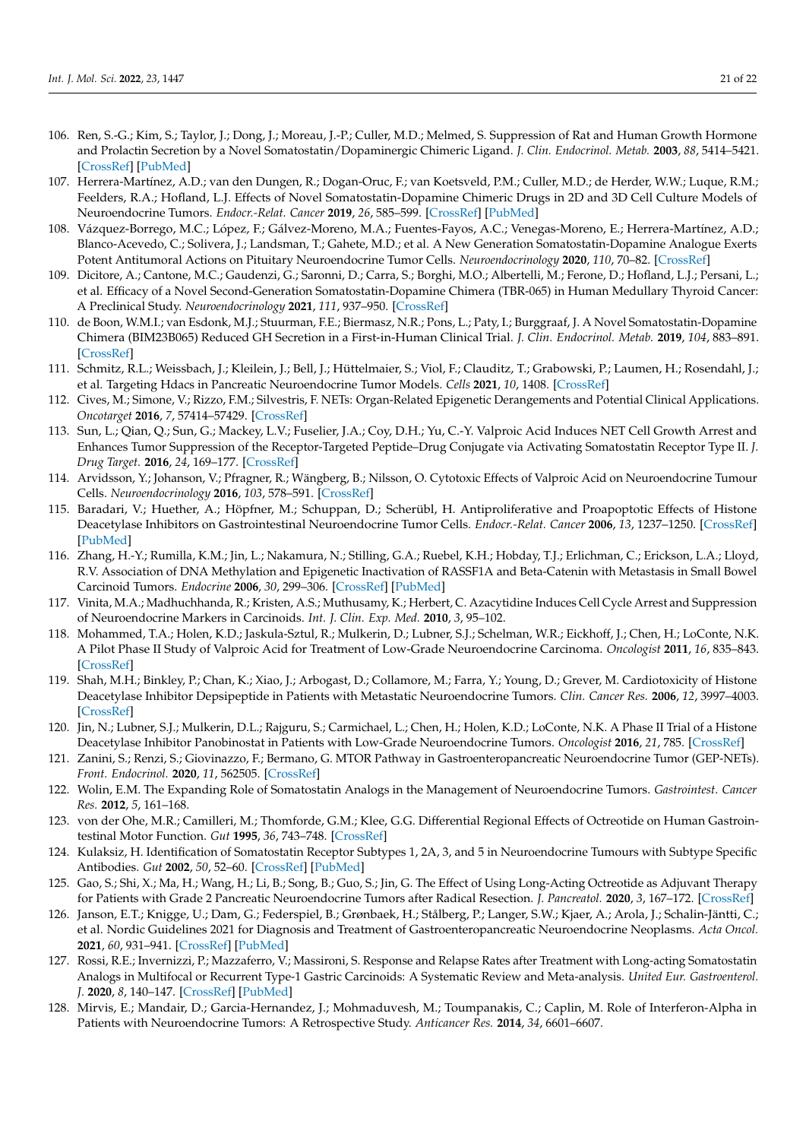- <span id="page-20-0"></span>106. Ren, S.-G.; Kim, S.; Taylor, J.; Dong, J.; Moreau, J.-P.; Culler, M.D.; Melmed, S. Suppression of Rat and Human Growth Hormone and Prolactin Secretion by a Novel Somatostatin/Dopaminergic Chimeric Ligand. *J. Clin. Endocrinol. Metab.* **2003**, *88*, 5414–5421. [\[CrossRef\]](http://doi.org/10.1210/jc.2003-030302) [\[PubMed\]](http://www.ncbi.nlm.nih.gov/pubmed/14602782)
- <span id="page-20-1"></span>107. Herrera-Martínez, A.D.; van den Dungen, R.; Dogan-Oruc, F.; van Koetsveld, P.M.; Culler, M.D.; de Herder, W.W.; Luque, R.M.; Feelders, R.A.; Hofland, L.J. Effects of Novel Somatostatin-Dopamine Chimeric Drugs in 2D and 3D Cell Culture Models of Neuroendocrine Tumors. *Endocr.-Relat. Cancer* **2019**, *26*, 585–599. [\[CrossRef\]](http://doi.org/10.1530/ERC-19-0086) [\[PubMed\]](http://www.ncbi.nlm.nih.gov/pubmed/30939452)
- 108. Vázquez-Borrego, M.C.; López, F.; Gálvez-Moreno, M.A.; Fuentes-Fayos, A.C.; Venegas-Moreno, E.; Herrera-Martínez, A.D.; Blanco-Acevedo, C.; Solivera, J.; Landsman, T.; Gahete, M.D.; et al. A New Generation Somatostatin-Dopamine Analogue Exerts Potent Antitumoral Actions on Pituitary Neuroendocrine Tumor Cells. *Neuroendocrinology* **2020**, *110*, 70–82. [\[CrossRef\]](http://doi.org/10.1159/000500812)
- 109. Dicitore, A.; Cantone, M.C.; Gaudenzi, G.; Saronni, D.; Carra, S.; Borghi, M.O.; Albertelli, M.; Ferone, D.; Hofland, L.J.; Persani, L.; et al. Efficacy of a Novel Second-Generation Somatostatin-Dopamine Chimera (TBR-065) in Human Medullary Thyroid Cancer: A Preclinical Study. *Neuroendocrinology* **2021**, *111*, 937–950. [\[CrossRef\]](http://doi.org/10.1159/000512366)
- <span id="page-20-2"></span>110. de Boon, W.M.I.; van Esdonk, M.J.; Stuurman, F.E.; Biermasz, N.R.; Pons, L.; Paty, I.; Burggraaf, J. A Novel Somatostatin-Dopamine Chimera (BIM23B065) Reduced GH Secretion in a First-in-Human Clinical Trial. *J. Clin. Endocrinol. Metab.* **2019**, *104*, 883–891. [\[CrossRef\]](http://doi.org/10.1210/jc.2018-01364)
- <span id="page-20-3"></span>111. Schmitz, R.L.; Weissbach, J.; Kleilein, J.; Bell, J.; Hüttelmaier, S.; Viol, F.; Clauditz, T.; Grabowski, P.; Laumen, H.; Rosendahl, J.; et al. Targeting Hdacs in Pancreatic Neuroendocrine Tumor Models. *Cells* **2021**, *10*, 1408. [\[CrossRef\]](http://doi.org/10.3390/cells10061408)
- <span id="page-20-4"></span>112. Cives, M.; Simone, V.; Rizzo, F.M.; Silvestris, F. NETs: Organ-Related Epigenetic Derangements and Potential Clinical Applications. *Oncotarget* **2016**, *7*, 57414–57429. [\[CrossRef\]](http://doi.org/10.18632/oncotarget.10598)
- <span id="page-20-5"></span>113. Sun, L.; Qian, Q.; Sun, G.; Mackey, L.V.; Fuselier, J.A.; Coy, D.H.; Yu, C.-Y. Valproic Acid Induces NET Cell Growth Arrest and Enhances Tumor Suppression of the Receptor-Targeted Peptide–Drug Conjugate via Activating Somatostatin Receptor Type II. *J. Drug Target.* **2016**, *24*, 169–177. [\[CrossRef\]](http://doi.org/10.3109/1061186X.2015.1066794)
- <span id="page-20-6"></span>114. Arvidsson, Y.; Johanson, V.; Pfragner, R.; Wängberg, B.; Nilsson, O. Cytotoxic Effects of Valproic Acid on Neuroendocrine Tumour Cells. *Neuroendocrinology* **2016**, *103*, 578–591. [\[CrossRef\]](http://doi.org/10.1159/000441849)
- 115. Baradari, V.; Huether, A.; Höpfner, M.; Schuppan, D.; Scherübl, H. Antiproliferative and Proapoptotic Effects of Histone Deacetylase Inhibitors on Gastrointestinal Neuroendocrine Tumor Cells. *Endocr.-Relat. Cancer* **2006**, *13*, 1237–1250. [\[CrossRef\]](http://doi.org/10.1677/erc.1.01249) [\[PubMed\]](http://www.ncbi.nlm.nih.gov/pubmed/17158768)
- 116. Zhang, H.-Y.; Rumilla, K.M.; Jin, L.; Nakamura, N.; Stilling, G.A.; Ruebel, K.H.; Hobday, T.J.; Erlichman, C.; Erickson, L.A.; Lloyd, R.V. Association of DNA Methylation and Epigenetic Inactivation of RASSF1A and Beta-Catenin with Metastasis in Small Bowel Carcinoid Tumors. *Endocrine* **2006**, *30*, 299–306. [\[CrossRef\]](http://doi.org/10.1007/s12020-006-0008-1) [\[PubMed\]](http://www.ncbi.nlm.nih.gov/pubmed/17526942)
- <span id="page-20-7"></span>117. Vinita, M.A.; Madhuchhanda, R.; Kristen, A.S.; Muthusamy, K.; Herbert, C. Azacytidine Induces Cell Cycle Arrest and Suppression of Neuroendocrine Markers in Carcinoids. *Int. J. Clin. Exp. Med.* **2010**, *3*, 95–102.
- <span id="page-20-8"></span>118. Mohammed, T.A.; Holen, K.D.; Jaskula-Sztul, R.; Mulkerin, D.; Lubner, S.J.; Schelman, W.R.; Eickhoff, J.; Chen, H.; LoConte, N.K. A Pilot Phase II Study of Valproic Acid for Treatment of Low-Grade Neuroendocrine Carcinoma. *Oncologist* **2011**, *16*, 835–843. [\[CrossRef\]](http://doi.org/10.1634/theoncologist.2011-0031)
- <span id="page-20-9"></span>119. Shah, M.H.; Binkley, P.; Chan, K.; Xiao, J.; Arbogast, D.; Collamore, M.; Farra, Y.; Young, D.; Grever, M. Cardiotoxicity of Histone Deacetylase Inhibitor Depsipeptide in Patients with Metastatic Neuroendocrine Tumors. *Clin. Cancer Res.* **2006**, *12*, 3997–4003. [\[CrossRef\]](http://doi.org/10.1158/1078-0432.CCR-05-2689)
- <span id="page-20-10"></span>120. Jin, N.; Lubner, S.J.; Mulkerin, D.L.; Rajguru, S.; Carmichael, L.; Chen, H.; Holen, K.D.; LoConte, N.K. A Phase II Trial of a Histone Deacetylase Inhibitor Panobinostat in Patients with Low-Grade Neuroendocrine Tumors. *Oncologist* **2016**, *21*, 785. [\[CrossRef\]](http://doi.org/10.1634/theoncologist.2016-0060)
- <span id="page-20-11"></span>121. Zanini, S.; Renzi, S.; Giovinazzo, F.; Bermano, G. MTOR Pathway in Gastroenteropancreatic Neuroendocrine Tumor (GEP-NETs). *Front. Endocrinol.* **2020**, *11*, 562505. [\[CrossRef\]](http://doi.org/10.3389/fendo.2020.562505)
- <span id="page-20-12"></span>122. Wolin, E.M. The Expanding Role of Somatostatin Analogs in the Management of Neuroendocrine Tumors. *Gastrointest. Cancer Res.* **2012**, *5*, 161–168.
- <span id="page-20-13"></span>123. von der Ohe, M.R.; Camilleri, M.; Thomforde, G.M.; Klee, G.G. Differential Regional Effects of Octreotide on Human Gastrointestinal Motor Function. *Gut* **1995**, *36*, 743–748. [\[CrossRef\]](http://doi.org/10.1136/gut.36.5.743)
- <span id="page-20-14"></span>124. Kulaksiz, H. Identification of Somatostatin Receptor Subtypes 1, 2A, 3, and 5 in Neuroendocrine Tumours with Subtype Specific Antibodies. *Gut* **2002**, *50*, 52–60. [\[CrossRef\]](http://doi.org/10.1136/gut.50.1.52) [\[PubMed\]](http://www.ncbi.nlm.nih.gov/pubmed/11772967)
- <span id="page-20-15"></span>125. Gao, S.; Shi, X.; Ma, H.; Wang, H.; Li, B.; Song, B.; Guo, S.; Jin, G. The Effect of Using Long-Acting Octreotide as Adjuvant Therapy for Patients with Grade 2 Pancreatic Neuroendocrine Tumors after Radical Resection. *J. Pancreatol.* **2020**, *3*, 167–172. [\[CrossRef\]](http://doi.org/10.1097/JP9.0000000000000058)
- <span id="page-20-16"></span>126. Janson, E.T.; Knigge, U.; Dam, G.; Federspiel, B.; Grønbaek, H.; Stålberg, P.; Langer, S.W.; Kjaer, A.; Arola, J.; Schalin-Jäntti, C.; et al. Nordic Guidelines 2021 for Diagnosis and Treatment of Gastroenteropancreatic Neuroendocrine Neoplasms. *Acta Oncol.* **2021**, *60*, 931–941. [\[CrossRef\]](http://doi.org/10.1080/0284186X.2021.1921262) [\[PubMed\]](http://www.ncbi.nlm.nih.gov/pubmed/33999752)
- <span id="page-20-17"></span>127. Rossi, R.E.; Invernizzi, P.; Mazzaferro, V.; Massironi, S. Response and Relapse Rates after Treatment with Long-acting Somatostatin Analogs in Multifocal or Recurrent Type-1 Gastric Carcinoids: A Systematic Review and Meta-analysis. *United Eur. Gastroenterol. J.* **2020**, *8*, 140–147. [\[CrossRef\]](http://doi.org/10.1177/2050640619890465) [\[PubMed\]](http://www.ncbi.nlm.nih.gov/pubmed/32213066)
- <span id="page-20-18"></span>128. Mirvis, E.; Mandair, D.; Garcia-Hernandez, J.; Mohmaduvesh, M.; Toumpanakis, C.; Caplin, M. Role of Interferon-Alpha in Patients with Neuroendocrine Tumors: A Retrospective Study. *Anticancer Res.* **2014**, *34*, 6601–6607.